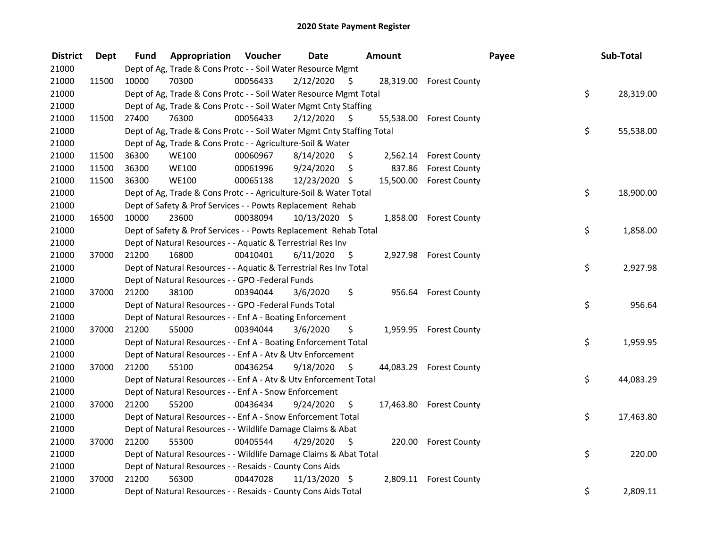| <b>District</b> | <b>Dept</b> | <b>Fund</b> | <b>Appropriation Voucher</b>                                           |          | <b>Date</b>   | Amount |        |                         | Payee | Sub-Total |
|-----------------|-------------|-------------|------------------------------------------------------------------------|----------|---------------|--------|--------|-------------------------|-------|-----------|
| 21000           |             |             | Dept of Ag, Trade & Cons Protc - - Soil Water Resource Mgmt            |          |               |        |        |                         |       |           |
| 21000           | 11500       | 10000       | 70300                                                                  | 00056433 | 2/12/2020     | S.     |        | 28,319.00 Forest County |       |           |
| 21000           |             |             | Dept of Ag, Trade & Cons Protc - - Soil Water Resource Mgmt Total      |          |               |        |        |                         | \$    | 28,319.00 |
| 21000           |             |             | Dept of Ag, Trade & Cons Protc - - Soil Water Mgmt Cnty Staffing       |          |               |        |        |                         |       |           |
| 21000           | 11500       | 27400       | 76300                                                                  | 00056433 | 2/12/2020     | -S     |        | 55,538.00 Forest County |       |           |
| 21000           |             |             | Dept of Ag, Trade & Cons Protc - - Soil Water Mgmt Cnty Staffing Total |          |               |        |        |                         | \$    | 55,538.00 |
| 21000           |             |             | Dept of Ag, Trade & Cons Protc - - Agriculture-Soil & Water            |          |               |        |        |                         |       |           |
| 21000           | 11500       | 36300       | <b>WE100</b>                                                           | 00060967 | 8/14/2020     | \$     |        | 2,562.14 Forest County  |       |           |
| 21000           | 11500       | 36300       | <b>WE100</b>                                                           | 00061996 | 9/24/2020     | \$     | 837.86 | <b>Forest County</b>    |       |           |
| 21000           | 11500       | 36300       | <b>WE100</b>                                                           | 00065138 | 12/23/2020 \$ |        |        | 15,500.00 Forest County |       |           |
| 21000           |             |             | Dept of Ag, Trade & Cons Protc - - Agriculture-Soil & Water Total      |          |               |        |        |                         | \$    | 18,900.00 |
| 21000           |             |             | Dept of Safety & Prof Services - - Powts Replacement Rehab             |          |               |        |        |                         |       |           |
| 21000           | 16500       | 10000       | 23600                                                                  | 00038094 | 10/13/2020 \$ |        |        | 1,858.00 Forest County  |       |           |
| 21000           |             |             | Dept of Safety & Prof Services - - Powts Replacement Rehab Total       |          |               |        |        |                         | \$    | 1,858.00  |
| 21000           |             |             | Dept of Natural Resources - - Aquatic & Terrestrial Res Inv            |          |               |        |        |                         |       |           |
| 21000           | 37000       | 21200       | 16800                                                                  | 00410401 | 6/11/2020     | \$     |        | 2,927.98 Forest County  |       |           |
| 21000           |             |             | Dept of Natural Resources - - Aquatic & Terrestrial Res Inv Total      |          |               |        |        |                         | \$    | 2,927.98  |
| 21000           |             |             | Dept of Natural Resources - - GPO -Federal Funds                       |          |               |        |        |                         |       |           |
| 21000           | 37000       | 21200       | 38100                                                                  | 00394044 | 3/6/2020      | \$     | 956.64 | <b>Forest County</b>    |       |           |
| 21000           |             |             | Dept of Natural Resources - - GPO -Federal Funds Total                 |          |               |        |        |                         | \$    | 956.64    |
| 21000           |             |             | Dept of Natural Resources - - Enf A - Boating Enforcement              |          |               |        |        |                         |       |           |
| 21000           | 37000       | 21200       | 55000                                                                  | 00394044 | 3/6/2020      | \$     |        | 1,959.95 Forest County  |       |           |
| 21000           |             |             | Dept of Natural Resources - - Enf A - Boating Enforcement Total        |          |               |        |        |                         | \$    | 1,959.95  |
| 21000           |             |             | Dept of Natural Resources - - Enf A - Atv & Utv Enforcement            |          |               |        |        |                         |       |           |
| 21000           | 37000       | 21200       | 55100                                                                  | 00436254 | 9/18/2020     | S.     |        | 44,083.29 Forest County |       |           |
| 21000           |             |             | Dept of Natural Resources - - Enf A - Atv & Utv Enforcement Total      |          |               |        |        |                         | \$    | 44,083.29 |
| 21000           |             |             | Dept of Natural Resources - - Enf A - Snow Enforcement                 |          |               |        |        |                         |       |           |
| 21000           | 37000       | 21200       | 55200                                                                  | 00436434 | 9/24/2020     | S.     |        | 17,463.80 Forest County |       |           |
| 21000           |             |             | Dept of Natural Resources - - Enf A - Snow Enforcement Total           |          |               |        |        |                         | \$    | 17,463.80 |
| 21000           |             |             | Dept of Natural Resources - - Wildlife Damage Claims & Abat            |          |               |        |        |                         |       |           |
| 21000           | 37000       | 21200       | 55300                                                                  | 00405544 | 4/29/2020     | - \$   |        | 220.00 Forest County    |       |           |
| 21000           |             |             | Dept of Natural Resources - - Wildlife Damage Claims & Abat Total      |          |               |        |        |                         | \$    | 220.00    |
| 21000           |             |             | Dept of Natural Resources - - Resaids - County Cons Aids               |          |               |        |        |                         |       |           |
| 21000           | 37000       | 21200       | 56300                                                                  | 00447028 | 11/13/2020 \$ |        |        | 2,809.11 Forest County  |       |           |
| 21000           |             |             | Dept of Natural Resources - - Resaids - County Cons Aids Total         |          |               |        |        |                         | \$    | 2,809.11  |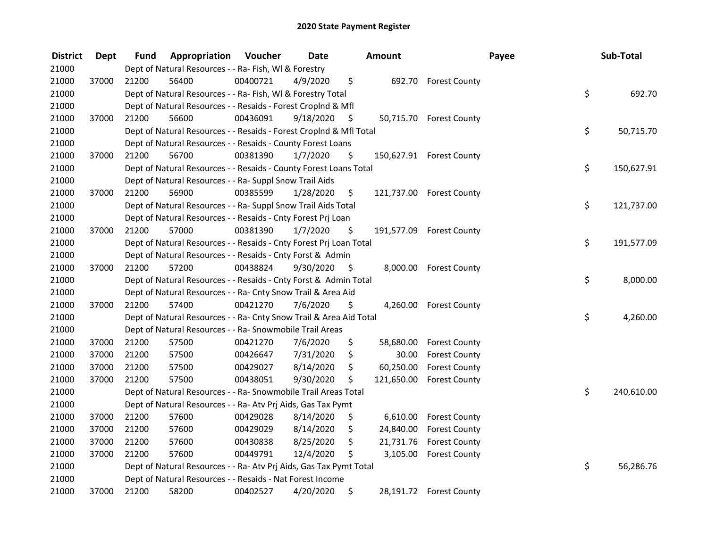| <b>District</b> | <b>Dept</b> | Fund  | Appropriation                                                      | Voucher  | Date      |     | Amount     |                          | Payee | Sub-Total  |
|-----------------|-------------|-------|--------------------------------------------------------------------|----------|-----------|-----|------------|--------------------------|-------|------------|
| 21000           |             |       | Dept of Natural Resources - - Ra- Fish, WI & Forestry              |          |           |     |            |                          |       |            |
| 21000           | 37000       | 21200 | 56400                                                              | 00400721 | 4/9/2020  | \$  | 692.70     | <b>Forest County</b>     |       |            |
| 21000           |             |       | Dept of Natural Resources - - Ra- Fish, WI & Forestry Total        |          |           |     |            |                          | \$    | 692.70     |
| 21000           |             |       | Dept of Natural Resources - - Resaids - Forest Croplnd & Mfl       |          |           |     |            |                          |       |            |
| 21000           | 37000       | 21200 | 56600                                                              | 00436091 | 9/18/2020 | \$  |            | 50,715.70 Forest County  |       |            |
| 21000           |             |       | Dept of Natural Resources - - Resaids - Forest CropInd & Mfl Total |          |           |     |            |                          | \$    | 50,715.70  |
| 21000           |             |       | Dept of Natural Resources - - Resaids - County Forest Loans        |          |           |     |            |                          |       |            |
| 21000           | 37000       | 21200 | 56700                                                              | 00381390 | 1/7/2020  | \$  |            | 150,627.91 Forest County |       |            |
| 21000           |             |       | Dept of Natural Resources - - Resaids - County Forest Loans Total  |          |           |     |            |                          | \$    | 150,627.91 |
| 21000           |             |       | Dept of Natural Resources - - Ra- Suppl Snow Trail Aids            |          |           |     |            |                          |       |            |
| 21000           | 37000       | 21200 | 56900                                                              | 00385599 | 1/28/2020 | \$. |            | 121,737.00 Forest County |       |            |
| 21000           |             |       | Dept of Natural Resources - - Ra- Suppl Snow Trail Aids Total      |          |           |     |            |                          | \$    | 121,737.00 |
| 21000           |             |       | Dept of Natural Resources - - Resaids - Cnty Forest Prj Loan       |          |           |     |            |                          |       |            |
| 21000           | 37000       | 21200 | 57000                                                              | 00381390 | 1/7/2020  | \$  | 191,577.09 | <b>Forest County</b>     |       |            |
| 21000           |             |       | Dept of Natural Resources - - Resaids - Cnty Forest Prj Loan Total |          |           |     |            |                          | \$    | 191,577.09 |
| 21000           |             |       | Dept of Natural Resources - - Resaids - Cnty Forst & Admin         |          |           |     |            |                          |       |            |
| 21000           | 37000       | 21200 | 57200                                                              | 00438824 | 9/30/2020 | \$  | 8,000.00   | <b>Forest County</b>     |       |            |
| 21000           |             |       | Dept of Natural Resources - - Resaids - Cnty Forst & Admin Total   |          |           |     |            |                          | \$    | 8,000.00   |
| 21000           |             |       | Dept of Natural Resources - - Ra- Cnty Snow Trail & Area Aid       |          |           |     |            |                          |       |            |
| 21000           | 37000       | 21200 | 57400                                                              | 00421270 | 7/6/2020  | \$  | 4,260.00   | <b>Forest County</b>     |       |            |
| 21000           |             |       | Dept of Natural Resources - - Ra- Cnty Snow Trail & Area Aid Total |          |           |     |            |                          | \$    | 4,260.00   |
| 21000           |             |       | Dept of Natural Resources - - Ra- Snowmobile Trail Areas           |          |           |     |            |                          |       |            |
| 21000           | 37000       | 21200 | 57500                                                              | 00421270 | 7/6/2020  | \$  | 58,680.00  | <b>Forest County</b>     |       |            |
| 21000           | 37000       | 21200 | 57500                                                              | 00426647 | 7/31/2020 | \$  | 30.00      | <b>Forest County</b>     |       |            |
| 21000           | 37000       | 21200 | 57500                                                              | 00429027 | 8/14/2020 | \$  | 60,250.00  | <b>Forest County</b>     |       |            |
| 21000           | 37000       | 21200 | 57500                                                              | 00438051 | 9/30/2020 | \$  | 121,650.00 | <b>Forest County</b>     |       |            |
| 21000           |             |       | Dept of Natural Resources - - Ra- Snowmobile Trail Areas Total     |          |           |     |            |                          | \$    | 240,610.00 |
| 21000           |             |       | Dept of Natural Resources - - Ra- Atv Prj Aids, Gas Tax Pymt       |          |           |     |            |                          |       |            |
| 21000           | 37000       | 21200 | 57600                                                              | 00429028 | 8/14/2020 | \$  | 6,610.00   | <b>Forest County</b>     |       |            |
| 21000           | 37000       | 21200 | 57600                                                              | 00429029 | 8/14/2020 | \$  | 24,840.00  | <b>Forest County</b>     |       |            |
| 21000           | 37000       | 21200 | 57600                                                              | 00430838 | 8/25/2020 | \$  | 21,731.76  | <b>Forest County</b>     |       |            |
| 21000           | 37000       | 21200 | 57600                                                              | 00449791 | 12/4/2020 | \$  | 3,105.00   | <b>Forest County</b>     |       |            |
| 21000           |             |       | Dept of Natural Resources - - Ra- Atv Prj Aids, Gas Tax Pymt Total |          |           |     |            |                          | \$    | 56,286.76  |
| 21000           |             |       | Dept of Natural Resources - - Resaids - Nat Forest Income          |          |           |     |            |                          |       |            |
| 21000           | 37000       | 21200 | 58200                                                              | 00402527 | 4/20/2020 | \$  |            | 28,191.72 Forest County  |       |            |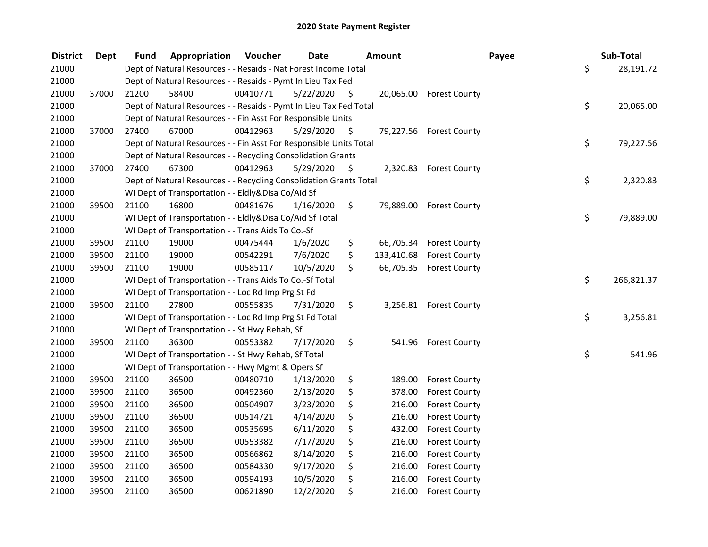| <b>District</b> | <b>Dept</b> | Fund  | Appropriation                                                      | Voucher  | <b>Date</b> |      | <b>Amount</b> |                          | Payee | Sub-Total  |
|-----------------|-------------|-------|--------------------------------------------------------------------|----------|-------------|------|---------------|--------------------------|-------|------------|
| 21000           |             |       | Dept of Natural Resources - - Resaids - Nat Forest Income Total    |          |             |      |               |                          | \$    | 28,191.72  |
| 21000           |             |       | Dept of Natural Resources - - Resaids - Pymt In Lieu Tax Fed       |          |             |      |               |                          |       |            |
| 21000           | 37000       | 21200 | 58400                                                              | 00410771 | 5/22/2020   | \$.  |               | 20,065.00 Forest County  |       |            |
| 21000           |             |       | Dept of Natural Resources - - Resaids - Pymt In Lieu Tax Fed Total |          |             |      |               |                          | \$    | 20,065.00  |
| 21000           |             |       | Dept of Natural Resources - - Fin Asst For Responsible Units       |          |             |      |               |                          |       |            |
| 21000           | 37000       | 27400 | 67000                                                              | 00412963 | 5/29/2020   | \$   |               | 79,227.56 Forest County  |       |            |
| 21000           |             |       | Dept of Natural Resources - - Fin Asst For Responsible Units Total |          |             |      |               |                          | \$    | 79,227.56  |
| 21000           |             |       | Dept of Natural Resources - - Recycling Consolidation Grants       |          |             |      |               |                          |       |            |
| 21000           | 37000       | 27400 | 67300                                                              | 00412963 | 5/29/2020   | - \$ |               | 2,320.83 Forest County   |       |            |
| 21000           |             |       | Dept of Natural Resources - - Recycling Consolidation Grants Total |          |             |      |               |                          | \$    | 2,320.83   |
| 21000           |             |       | WI Dept of Transportation - - Eldly&Disa Co/Aid Sf                 |          |             |      |               |                          |       |            |
| 21000           | 39500       | 21100 | 16800                                                              | 00481676 | 1/16/2020   | \$   | 79,889.00     | <b>Forest County</b>     |       |            |
| 21000           |             |       | WI Dept of Transportation - - Eldly&Disa Co/Aid Sf Total           |          |             |      |               |                          | \$    | 79,889.00  |
| 21000           |             |       | WI Dept of Transportation - - Trans Aids To Co.-Sf                 |          |             |      |               |                          |       |            |
| 21000           | 39500       | 21100 | 19000                                                              | 00475444 | 1/6/2020    | \$   | 66,705.34     | <b>Forest County</b>     |       |            |
| 21000           | 39500       | 21100 | 19000                                                              | 00542291 | 7/6/2020    | \$   |               | 133,410.68 Forest County |       |            |
| 21000           | 39500       | 21100 | 19000                                                              | 00585117 | 10/5/2020   | \$   | 66,705.35     | <b>Forest County</b>     |       |            |
| 21000           |             |       | WI Dept of Transportation - - Trans Aids To Co.-Sf Total           |          |             |      |               |                          | \$    | 266,821.37 |
| 21000           |             |       | WI Dept of Transportation - - Loc Rd Imp Prg St Fd                 |          |             |      |               |                          |       |            |
| 21000           | 39500       | 21100 | 27800                                                              | 00555835 | 7/31/2020   | \$   |               | 3,256.81 Forest County   |       |            |
| 21000           |             |       | WI Dept of Transportation - - Loc Rd Imp Prg St Fd Total           |          |             |      |               |                          | \$    | 3,256.81   |
| 21000           |             |       | WI Dept of Transportation - - St Hwy Rehab, Sf                     |          |             |      |               |                          |       |            |
| 21000           | 39500       | 21100 | 36300                                                              | 00553382 | 7/17/2020   | \$   | 541.96        | <b>Forest County</b>     |       |            |
| 21000           |             |       | WI Dept of Transportation - - St Hwy Rehab, Sf Total               |          |             |      |               |                          | \$    | 541.96     |
| 21000           |             |       | WI Dept of Transportation - - Hwy Mgmt & Opers Sf                  |          |             |      |               |                          |       |            |
| 21000           | 39500       | 21100 | 36500                                                              | 00480710 | 1/13/2020   | \$   | 189.00        | <b>Forest County</b>     |       |            |
| 21000           | 39500       | 21100 | 36500                                                              | 00492360 | 2/13/2020   | \$   | 378.00        | <b>Forest County</b>     |       |            |
| 21000           | 39500       | 21100 | 36500                                                              | 00504907 | 3/23/2020   | \$   | 216.00        | <b>Forest County</b>     |       |            |
| 21000           | 39500       | 21100 | 36500                                                              | 00514721 | 4/14/2020   | \$   | 216.00        | <b>Forest County</b>     |       |            |
| 21000           | 39500       | 21100 | 36500                                                              | 00535695 | 6/11/2020   | \$   | 432.00        | <b>Forest County</b>     |       |            |
| 21000           | 39500       | 21100 | 36500                                                              | 00553382 | 7/17/2020   | \$   | 216.00        | <b>Forest County</b>     |       |            |
| 21000           | 39500       | 21100 | 36500                                                              | 00566862 | 8/14/2020   | \$   | 216.00        | <b>Forest County</b>     |       |            |
| 21000           | 39500       | 21100 | 36500                                                              | 00584330 | 9/17/2020   | \$   | 216.00        | <b>Forest County</b>     |       |            |
| 21000           | 39500       | 21100 | 36500                                                              | 00594193 | 10/5/2020   | \$   | 216.00        | <b>Forest County</b>     |       |            |
| 21000           | 39500       | 21100 | 36500                                                              | 00621890 | 12/2/2020   | \$   | 216.00        | <b>Forest County</b>     |       |            |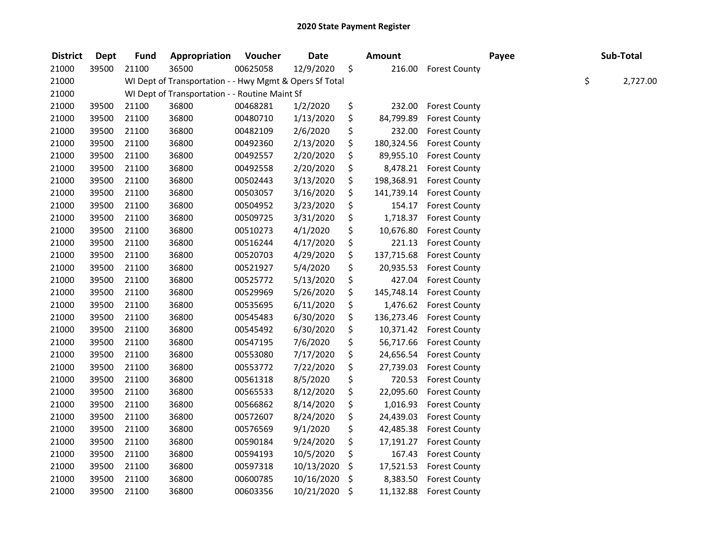| <b>District</b> | <b>Dept</b> | <b>Fund</b> | Appropriation                                           | Voucher  | <b>Date</b> | <b>Amount</b>    |                      | Payee | Sub-Total |          |
|-----------------|-------------|-------------|---------------------------------------------------------|----------|-------------|------------------|----------------------|-------|-----------|----------|
| 21000           | 39500       | 21100       | 36500                                                   | 00625058 | 12/9/2020   | \$<br>216.00     | <b>Forest County</b> |       |           |          |
| 21000           |             |             | WI Dept of Transportation - - Hwy Mgmt & Opers Sf Total |          |             |                  |                      |       | \$        | 2,727.00 |
| 21000           |             |             | WI Dept of Transportation - - Routine Maint Sf          |          |             |                  |                      |       |           |          |
| 21000           | 39500       | 21100       | 36800                                                   | 00468281 | 1/2/2020    | \$<br>232.00     | <b>Forest County</b> |       |           |          |
| 21000           | 39500       | 21100       | 36800                                                   | 00480710 | 1/13/2020   | \$<br>84,799.89  | <b>Forest County</b> |       |           |          |
| 21000           | 39500       | 21100       | 36800                                                   | 00482109 | 2/6/2020    | \$<br>232.00     | <b>Forest County</b> |       |           |          |
| 21000           | 39500       | 21100       | 36800                                                   | 00492360 | 2/13/2020   | \$<br>180,324.56 | <b>Forest County</b> |       |           |          |
| 21000           | 39500       | 21100       | 36800                                                   | 00492557 | 2/20/2020   | \$<br>89,955.10  | <b>Forest County</b> |       |           |          |
| 21000           | 39500       | 21100       | 36800                                                   | 00492558 | 2/20/2020   | \$<br>8,478.21   | <b>Forest County</b> |       |           |          |
| 21000           | 39500       | 21100       | 36800                                                   | 00502443 | 3/13/2020   | \$<br>198,368.91 | <b>Forest County</b> |       |           |          |
| 21000           | 39500       | 21100       | 36800                                                   | 00503057 | 3/16/2020   | \$<br>141,739.14 | <b>Forest County</b> |       |           |          |
| 21000           | 39500       | 21100       | 36800                                                   | 00504952 | 3/23/2020   | \$<br>154.17     | <b>Forest County</b> |       |           |          |
| 21000           | 39500       | 21100       | 36800                                                   | 00509725 | 3/31/2020   | \$<br>1,718.37   | <b>Forest County</b> |       |           |          |
| 21000           | 39500       | 21100       | 36800                                                   | 00510273 | 4/1/2020    | \$<br>10,676.80  | <b>Forest County</b> |       |           |          |
| 21000           | 39500       | 21100       | 36800                                                   | 00516244 | 4/17/2020   | \$<br>221.13     | <b>Forest County</b> |       |           |          |
| 21000           | 39500       | 21100       | 36800                                                   | 00520703 | 4/29/2020   | \$<br>137,715.68 | <b>Forest County</b> |       |           |          |
| 21000           | 39500       | 21100       | 36800                                                   | 00521927 | 5/4/2020    | \$<br>20,935.53  | <b>Forest County</b> |       |           |          |
| 21000           | 39500       | 21100       | 36800                                                   | 00525772 | 5/13/2020   | \$<br>427.04     | <b>Forest County</b> |       |           |          |
| 21000           | 39500       | 21100       | 36800                                                   | 00529969 | 5/26/2020   | \$<br>145,748.14 | <b>Forest County</b> |       |           |          |
| 21000           | 39500       | 21100       | 36800                                                   | 00535695 | 6/11/2020   | \$<br>1,476.62   | <b>Forest County</b> |       |           |          |
| 21000           | 39500       | 21100       | 36800                                                   | 00545483 | 6/30/2020   | \$<br>136,273.46 | <b>Forest County</b> |       |           |          |
| 21000           | 39500       | 21100       | 36800                                                   | 00545492 | 6/30/2020   | \$<br>10,371.42  | <b>Forest County</b> |       |           |          |
| 21000           | 39500       | 21100       | 36800                                                   | 00547195 | 7/6/2020    | \$<br>56,717.66  | <b>Forest County</b> |       |           |          |
| 21000           | 39500       | 21100       | 36800                                                   | 00553080 | 7/17/2020   | \$<br>24,656.54  | <b>Forest County</b> |       |           |          |
| 21000           | 39500       | 21100       | 36800                                                   | 00553772 | 7/22/2020   | \$<br>27,739.03  | <b>Forest County</b> |       |           |          |
| 21000           | 39500       | 21100       | 36800                                                   | 00561318 | 8/5/2020    | \$<br>720.53     | <b>Forest County</b> |       |           |          |
| 21000           | 39500       | 21100       | 36800                                                   | 00565533 | 8/12/2020   | \$<br>22,095.60  | <b>Forest County</b> |       |           |          |
| 21000           | 39500       | 21100       | 36800                                                   | 00566862 | 8/14/2020   | \$<br>1,016.93   | <b>Forest County</b> |       |           |          |
| 21000           | 39500       | 21100       | 36800                                                   | 00572607 | 8/24/2020   | \$<br>24,439.03  | <b>Forest County</b> |       |           |          |
| 21000           | 39500       | 21100       | 36800                                                   | 00576569 | 9/1/2020    | \$<br>42,485.38  | <b>Forest County</b> |       |           |          |
| 21000           | 39500       | 21100       | 36800                                                   | 00590184 | 9/24/2020   | \$<br>17,191.27  | <b>Forest County</b> |       |           |          |
| 21000           | 39500       | 21100       | 36800                                                   | 00594193 | 10/5/2020   | \$<br>167.43     | <b>Forest County</b> |       |           |          |
| 21000           | 39500       | 21100       | 36800                                                   | 00597318 | 10/13/2020  | \$<br>17,521.53  | <b>Forest County</b> |       |           |          |
| 21000           | 39500       | 21100       | 36800                                                   | 00600785 | 10/16/2020  | \$<br>8,383.50   | <b>Forest County</b> |       |           |          |
| 21000           | 39500       | 21100       | 36800                                                   | 00603356 | 10/21/2020  | \$<br>11,132.88  | <b>Forest County</b> |       |           |          |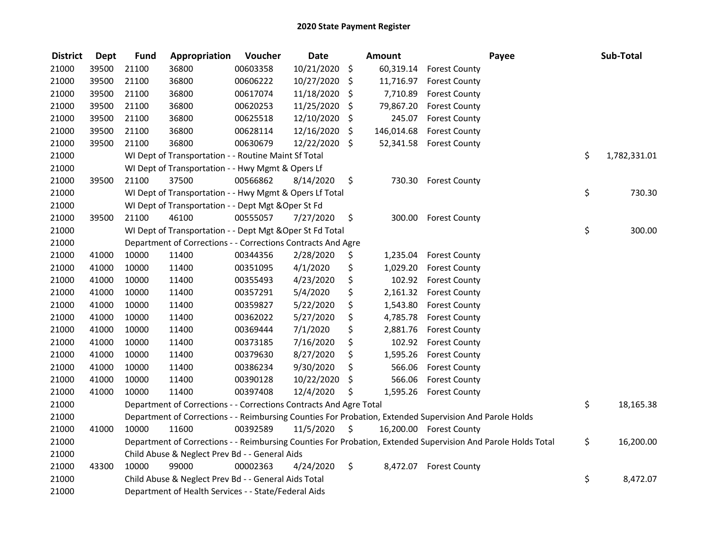| <b>District</b> | Dept  | <b>Fund</b> | Appropriation                                                                                           | Voucher  | <b>Date</b> | <b>Amount</b>    |                         | Payee                                                                                                         | Sub-Total          |
|-----------------|-------|-------------|---------------------------------------------------------------------------------------------------------|----------|-------------|------------------|-------------------------|---------------------------------------------------------------------------------------------------------------|--------------------|
| 21000           | 39500 | 21100       | 36800                                                                                                   | 00603358 | 10/21/2020  | \$<br>60,319.14  | <b>Forest County</b>    |                                                                                                               |                    |
| 21000           | 39500 | 21100       | 36800                                                                                                   | 00606222 | 10/27/2020  | \$<br>11,716.97  | <b>Forest County</b>    |                                                                                                               |                    |
| 21000           | 39500 | 21100       | 36800                                                                                                   | 00617074 | 11/18/2020  | \$<br>7,710.89   | <b>Forest County</b>    |                                                                                                               |                    |
| 21000           | 39500 | 21100       | 36800                                                                                                   | 00620253 | 11/25/2020  | \$<br>79,867.20  | <b>Forest County</b>    |                                                                                                               |                    |
| 21000           | 39500 | 21100       | 36800                                                                                                   | 00625518 | 12/10/2020  | \$<br>245.07     | <b>Forest County</b>    |                                                                                                               |                    |
| 21000           | 39500 | 21100       | 36800                                                                                                   | 00628114 | 12/16/2020  | \$<br>146,014.68 | <b>Forest County</b>    |                                                                                                               |                    |
| 21000           | 39500 | 21100       | 36800                                                                                                   | 00630679 | 12/22/2020  | \$<br>52,341.58  | <b>Forest County</b>    |                                                                                                               |                    |
| 21000           |       |             | WI Dept of Transportation - - Routine Maint Sf Total                                                    |          |             |                  |                         |                                                                                                               | \$<br>1,782,331.01 |
| 21000           |       |             | WI Dept of Transportation - - Hwy Mgmt & Opers Lf                                                       |          |             |                  |                         |                                                                                                               |                    |
| 21000           | 39500 | 21100       | 37500                                                                                                   | 00566862 | 8/14/2020   | \$<br>730.30     | <b>Forest County</b>    |                                                                                                               |                    |
| 21000           |       |             | WI Dept of Transportation - - Hwy Mgmt & Opers Lf Total                                                 |          |             |                  |                         |                                                                                                               | \$<br>730.30       |
| 21000           |       |             | WI Dept of Transportation - - Dept Mgt & Oper St Fd                                                     |          |             |                  |                         |                                                                                                               |                    |
| 21000           | 39500 | 21100       | 46100                                                                                                   | 00555057 | 7/27/2020   | \$<br>300.00     | <b>Forest County</b>    |                                                                                                               |                    |
| 21000           |       |             | WI Dept of Transportation - - Dept Mgt & Oper St Fd Total                                               |          |             |                  |                         |                                                                                                               | \$<br>300.00       |
| 21000           |       |             | Department of Corrections - - Corrections Contracts And Agre                                            |          |             |                  |                         |                                                                                                               |                    |
| 21000           | 41000 | 10000       | 11400                                                                                                   | 00344356 | 2/28/2020   | \$<br>1,235.04   | <b>Forest County</b>    |                                                                                                               |                    |
| 21000           | 41000 | 10000       | 11400                                                                                                   | 00351095 | 4/1/2020    | \$<br>1,029.20   | <b>Forest County</b>    |                                                                                                               |                    |
| 21000           | 41000 | 10000       | 11400                                                                                                   | 00355493 | 4/23/2020   | \$<br>102.92     | <b>Forest County</b>    |                                                                                                               |                    |
| 21000           | 41000 | 10000       | 11400                                                                                                   | 00357291 | 5/4/2020    | \$<br>2,161.32   | <b>Forest County</b>    |                                                                                                               |                    |
| 21000           | 41000 | 10000       | 11400                                                                                                   | 00359827 | 5/22/2020   | \$<br>1,543.80   | <b>Forest County</b>    |                                                                                                               |                    |
| 21000           | 41000 | 10000       | 11400                                                                                                   | 00362022 | 5/27/2020   | \$<br>4,785.78   | <b>Forest County</b>    |                                                                                                               |                    |
| 21000           | 41000 | 10000       | 11400                                                                                                   | 00369444 | 7/1/2020    | \$<br>2,881.76   | <b>Forest County</b>    |                                                                                                               |                    |
| 21000           | 41000 | 10000       | 11400                                                                                                   | 00373185 | 7/16/2020   | \$<br>102.92     | <b>Forest County</b>    |                                                                                                               |                    |
| 21000           | 41000 | 10000       | 11400                                                                                                   | 00379630 | 8/27/2020   | \$<br>1,595.26   | <b>Forest County</b>    |                                                                                                               |                    |
| 21000           | 41000 | 10000       | 11400                                                                                                   | 00386234 | 9/30/2020   | \$<br>566.06     | <b>Forest County</b>    |                                                                                                               |                    |
| 21000           | 41000 | 10000       | 11400                                                                                                   | 00390128 | 10/22/2020  | \$<br>566.06     | <b>Forest County</b>    |                                                                                                               |                    |
| 21000           | 41000 | 10000       | 11400                                                                                                   | 00397408 | 12/4/2020   | \$<br>1,595.26   | <b>Forest County</b>    |                                                                                                               |                    |
| 21000           |       |             | Department of Corrections - - Corrections Contracts And Agre Total                                      |          |             |                  |                         |                                                                                                               | \$<br>18,165.38    |
| 21000           |       |             | Department of Corrections - - Reimbursing Counties For Probation, Extended Supervision And Parole Holds |          |             |                  |                         |                                                                                                               |                    |
| 21000           | 41000 | 10000       | 11600                                                                                                   | 00392589 | 11/5/2020   | \$               | 16,200.00 Forest County |                                                                                                               |                    |
| 21000           |       |             |                                                                                                         |          |             |                  |                         | Department of Corrections - - Reimbursing Counties For Probation, Extended Supervision And Parole Holds Total | \$<br>16,200.00    |
| 21000           |       |             | Child Abuse & Neglect Prev Bd - - General Aids                                                          |          |             |                  |                         |                                                                                                               |                    |
| 21000           | 43300 | 10000       | 99000                                                                                                   | 00002363 | 4/24/2020   | \$<br>8,472.07   | <b>Forest County</b>    |                                                                                                               |                    |
| 21000           |       |             | Child Abuse & Neglect Prev Bd - - General Aids Total                                                    |          |             |                  |                         |                                                                                                               | \$<br>8,472.07     |
| 21000           |       |             | Department of Health Services - - State/Federal Aids                                                    |          |             |                  |                         |                                                                                                               |                    |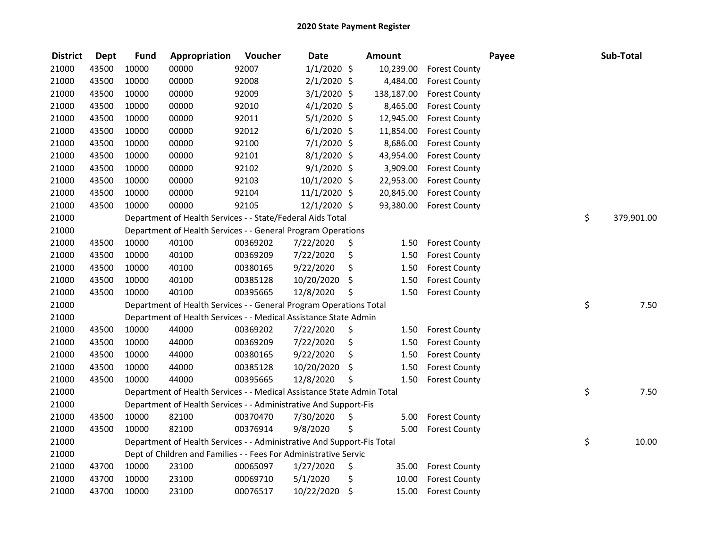| <b>District</b> | <b>Dept</b> | <b>Fund</b> | Appropriation                                                          | Voucher  | <b>Date</b>    | Amount      |                      | Payee | Sub-Total        |
|-----------------|-------------|-------------|------------------------------------------------------------------------|----------|----------------|-------------|----------------------|-------|------------------|
| 21000           | 43500       | 10000       | 00000                                                                  | 92007    | $1/1/2020$ \$  | 10,239.00   | <b>Forest County</b> |       |                  |
| 21000           | 43500       | 10000       | 00000                                                                  | 92008    | $2/1/2020$ \$  | 4,484.00    | <b>Forest County</b> |       |                  |
| 21000           | 43500       | 10000       | 00000                                                                  | 92009    | $3/1/2020$ \$  | 138,187.00  | <b>Forest County</b> |       |                  |
| 21000           | 43500       | 10000       | 00000                                                                  | 92010    | $4/1/2020$ \$  | 8,465.00    | <b>Forest County</b> |       |                  |
| 21000           | 43500       | 10000       | 00000                                                                  | 92011    | $5/1/2020$ \$  | 12,945.00   | <b>Forest County</b> |       |                  |
| 21000           | 43500       | 10000       | 00000                                                                  | 92012    | $6/1/2020$ \$  | 11,854.00   | <b>Forest County</b> |       |                  |
| 21000           | 43500       | 10000       | 00000                                                                  | 92100    | $7/1/2020$ \$  | 8,686.00    | <b>Forest County</b> |       |                  |
| 21000           | 43500       | 10000       | 00000                                                                  | 92101    | $8/1/2020$ \$  | 43,954.00   | <b>Forest County</b> |       |                  |
| 21000           | 43500       | 10000       | 00000                                                                  | 92102    | $9/1/2020$ \$  | 3,909.00    | <b>Forest County</b> |       |                  |
| 21000           | 43500       | 10000       | 00000                                                                  | 92103    | 10/1/2020 \$   | 22,953.00   | <b>Forest County</b> |       |                  |
| 21000           | 43500       | 10000       | 00000                                                                  | 92104    | $11/1/2020$ \$ | 20,845.00   | <b>Forest County</b> |       |                  |
| 21000           | 43500       | 10000       | 00000                                                                  | 92105    | 12/1/2020 \$   | 93,380.00   | <b>Forest County</b> |       |                  |
| 21000           |             |             | Department of Health Services - - State/Federal Aids Total             |          |                |             |                      |       | \$<br>379,901.00 |
| 21000           |             |             | Department of Health Services - - General Program Operations           |          |                |             |                      |       |                  |
| 21000           | 43500       | 10000       | 40100                                                                  | 00369202 | 7/22/2020      | \$<br>1.50  | <b>Forest County</b> |       |                  |
| 21000           | 43500       | 10000       | 40100                                                                  | 00369209 | 7/22/2020      | \$<br>1.50  | <b>Forest County</b> |       |                  |
| 21000           | 43500       | 10000       | 40100                                                                  | 00380165 | 9/22/2020      | \$<br>1.50  | <b>Forest County</b> |       |                  |
| 21000           | 43500       | 10000       | 40100                                                                  | 00385128 | 10/20/2020     | \$<br>1.50  | <b>Forest County</b> |       |                  |
| 21000           | 43500       | 10000       | 40100                                                                  | 00395665 | 12/8/2020      | \$<br>1.50  | <b>Forest County</b> |       |                  |
| 21000           |             |             | Department of Health Services - - General Program Operations Total     |          |                |             |                      |       | \$<br>7.50       |
| 21000           |             |             | Department of Health Services - - Medical Assistance State Admin       |          |                |             |                      |       |                  |
| 21000           | 43500       | 10000       | 44000                                                                  | 00369202 | 7/22/2020      | \$<br>1.50  | <b>Forest County</b> |       |                  |
| 21000           | 43500       | 10000       | 44000                                                                  | 00369209 | 7/22/2020      | \$<br>1.50  | <b>Forest County</b> |       |                  |
| 21000           | 43500       | 10000       | 44000                                                                  | 00380165 | 9/22/2020      | \$<br>1.50  | <b>Forest County</b> |       |                  |
| 21000           | 43500       | 10000       | 44000                                                                  | 00385128 | 10/20/2020     | \$<br>1.50  | <b>Forest County</b> |       |                  |
| 21000           | 43500       | 10000       | 44000                                                                  | 00395665 | 12/8/2020      | \$<br>1.50  | <b>Forest County</b> |       |                  |
| 21000           |             |             | Department of Health Services - - Medical Assistance State Admin Total |          |                |             |                      |       | \$<br>7.50       |
| 21000           |             |             | Department of Health Services - - Administrative And Support-Fis       |          |                |             |                      |       |                  |
| 21000           | 43500       | 10000       | 82100                                                                  | 00370470 | 7/30/2020      | \$<br>5.00  | <b>Forest County</b> |       |                  |
| 21000           | 43500       | 10000       | 82100                                                                  | 00376914 | 9/8/2020       | \$<br>5.00  | <b>Forest County</b> |       |                  |
| 21000           |             |             | Department of Health Services - - Administrative And Support-Fis Total |          |                |             |                      |       | \$<br>10.00      |
| 21000           |             |             | Dept of Children and Families - - Fees For Administrative Servic       |          |                |             |                      |       |                  |
| 21000           | 43700       | 10000       | 23100                                                                  | 00065097 | 1/27/2020      | \$<br>35.00 | <b>Forest County</b> |       |                  |
| 21000           | 43700       | 10000       | 23100                                                                  | 00069710 | 5/1/2020       | \$<br>10.00 | <b>Forest County</b> |       |                  |
| 21000           | 43700       | 10000       | 23100                                                                  | 00076517 | 10/22/2020     | \$<br>15.00 | <b>Forest County</b> |       |                  |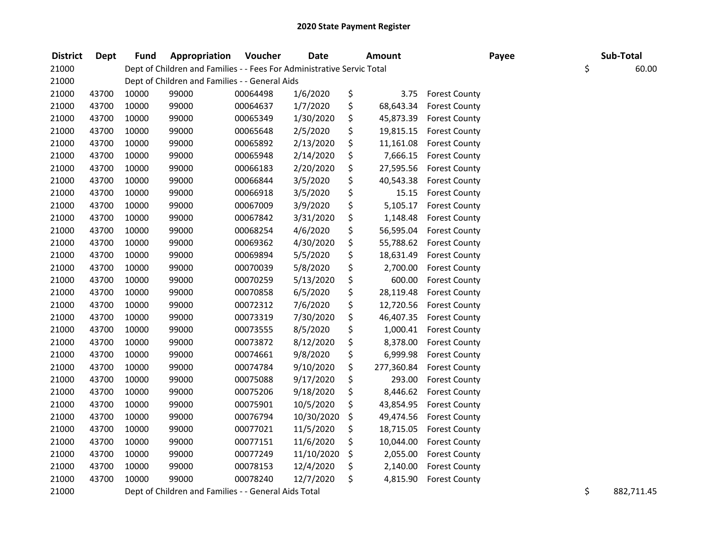| <b>District</b> | <b>Dept</b> | <b>Fund</b> | Appropriation                                                          | Voucher  | <b>Date</b> | Amount           |                      | Payee | Sub-Total   |
|-----------------|-------------|-------------|------------------------------------------------------------------------|----------|-------------|------------------|----------------------|-------|-------------|
| 21000           |             |             | Dept of Children and Families - - Fees For Administrative Servic Total |          |             |                  |                      |       | \$<br>60.00 |
| 21000           |             |             | Dept of Children and Families - - General Aids                         |          |             |                  |                      |       |             |
| 21000           | 43700       | 10000       | 99000                                                                  | 00064498 | 1/6/2020    | \$<br>3.75       | <b>Forest County</b> |       |             |
| 21000           | 43700       | 10000       | 99000                                                                  | 00064637 | 1/7/2020    | \$<br>68,643.34  | <b>Forest County</b> |       |             |
| 21000           | 43700       | 10000       | 99000                                                                  | 00065349 | 1/30/2020   | \$<br>45,873.39  | <b>Forest County</b> |       |             |
| 21000           | 43700       | 10000       | 99000                                                                  | 00065648 | 2/5/2020    | \$<br>19,815.15  | <b>Forest County</b> |       |             |
| 21000           | 43700       | 10000       | 99000                                                                  | 00065892 | 2/13/2020   | \$<br>11,161.08  | <b>Forest County</b> |       |             |
| 21000           | 43700       | 10000       | 99000                                                                  | 00065948 | 2/14/2020   | \$<br>7,666.15   | <b>Forest County</b> |       |             |
| 21000           | 43700       | 10000       | 99000                                                                  | 00066183 | 2/20/2020   | \$<br>27,595.56  | <b>Forest County</b> |       |             |
| 21000           | 43700       | 10000       | 99000                                                                  | 00066844 | 3/5/2020    | \$<br>40,543.38  | <b>Forest County</b> |       |             |
| 21000           | 43700       | 10000       | 99000                                                                  | 00066918 | 3/5/2020    | \$<br>15.15      | <b>Forest County</b> |       |             |
| 21000           | 43700       | 10000       | 99000                                                                  | 00067009 | 3/9/2020    | \$<br>5,105.17   | <b>Forest County</b> |       |             |
| 21000           | 43700       | 10000       | 99000                                                                  | 00067842 | 3/31/2020   | \$<br>1,148.48   | <b>Forest County</b> |       |             |
| 21000           | 43700       | 10000       | 99000                                                                  | 00068254 | 4/6/2020    | \$<br>56,595.04  | <b>Forest County</b> |       |             |
| 21000           | 43700       | 10000       | 99000                                                                  | 00069362 | 4/30/2020   | \$<br>55,788.62  | <b>Forest County</b> |       |             |
| 21000           | 43700       | 10000       | 99000                                                                  | 00069894 | 5/5/2020    | \$<br>18,631.49  | <b>Forest County</b> |       |             |
| 21000           | 43700       | 10000       | 99000                                                                  | 00070039 | 5/8/2020    | \$<br>2,700.00   | <b>Forest County</b> |       |             |
| 21000           | 43700       | 10000       | 99000                                                                  | 00070259 | 5/13/2020   | \$<br>600.00     | <b>Forest County</b> |       |             |
| 21000           | 43700       | 10000       | 99000                                                                  | 00070858 | 6/5/2020    | \$<br>28,119.48  | <b>Forest County</b> |       |             |
| 21000           | 43700       | 10000       | 99000                                                                  | 00072312 | 7/6/2020    | \$<br>12,720.56  | <b>Forest County</b> |       |             |
| 21000           | 43700       | 10000       | 99000                                                                  | 00073319 | 7/30/2020   | \$<br>46,407.35  | <b>Forest County</b> |       |             |
| 21000           | 43700       | 10000       | 99000                                                                  | 00073555 | 8/5/2020    | \$<br>1,000.41   | <b>Forest County</b> |       |             |
| 21000           | 43700       | 10000       | 99000                                                                  | 00073872 | 8/12/2020   | \$<br>8,378.00   | <b>Forest County</b> |       |             |
| 21000           | 43700       | 10000       | 99000                                                                  | 00074661 | 9/8/2020    | \$<br>6,999.98   | <b>Forest County</b> |       |             |
| 21000           | 43700       | 10000       | 99000                                                                  | 00074784 | 9/10/2020   | \$<br>277,360.84 | <b>Forest County</b> |       |             |
| 21000           | 43700       | 10000       | 99000                                                                  | 00075088 | 9/17/2020   | \$<br>293.00     | <b>Forest County</b> |       |             |
| 21000           | 43700       | 10000       | 99000                                                                  | 00075206 | 9/18/2020   | \$<br>8,446.62   | <b>Forest County</b> |       |             |
| 21000           | 43700       | 10000       | 99000                                                                  | 00075901 | 10/5/2020   | \$<br>43,854.95  | <b>Forest County</b> |       |             |
| 21000           | 43700       | 10000       | 99000                                                                  | 00076794 | 10/30/2020  | \$<br>49,474.56  | <b>Forest County</b> |       |             |
| 21000           | 43700       | 10000       | 99000                                                                  | 00077021 | 11/5/2020   | \$<br>18,715.05  | <b>Forest County</b> |       |             |
| 21000           | 43700       | 10000       | 99000                                                                  | 00077151 | 11/6/2020   | \$<br>10,044.00  | <b>Forest County</b> |       |             |
| 21000           | 43700       | 10000       | 99000                                                                  | 00077249 | 11/10/2020  | \$<br>2,055.00   | <b>Forest County</b> |       |             |
| 21000           | 43700       | 10000       | 99000                                                                  | 00078153 | 12/4/2020   | \$<br>2,140.00   | <b>Forest County</b> |       |             |
| 21000           | 43700       | 10000       | 99000                                                                  | 00078240 | 12/7/2020   | \$<br>4,815.90   | <b>Forest County</b> |       |             |
|                 |             |             |                                                                        |          |             |                  |                      |       |             |

21000 Dept of Children and Families - - General Aids Total **Systems** 21000 September 2021711.45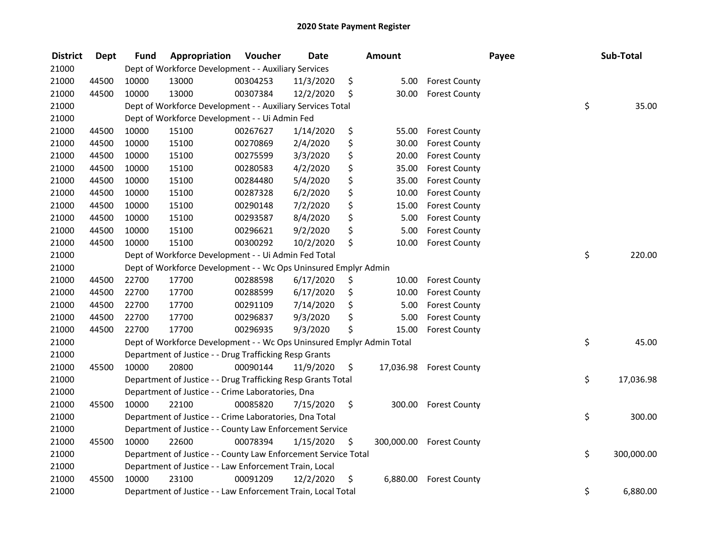| <b>District</b> | <b>Dept</b> | <b>Fund</b> | Appropriation                                                         | Voucher  | <b>Date</b> | <b>Amount</b>    |                      | Payee | Sub-Total        |
|-----------------|-------------|-------------|-----------------------------------------------------------------------|----------|-------------|------------------|----------------------|-------|------------------|
| 21000           |             |             | Dept of Workforce Development - - Auxiliary Services                  |          |             |                  |                      |       |                  |
| 21000           | 44500       | 10000       | 13000                                                                 | 00304253 | 11/3/2020   | \$<br>5.00       | <b>Forest County</b> |       |                  |
| 21000           | 44500       | 10000       | 13000                                                                 | 00307384 | 12/2/2020   | \$<br>30.00      | <b>Forest County</b> |       |                  |
| 21000           |             |             | Dept of Workforce Development - - Auxiliary Services Total            |          |             |                  |                      |       | \$<br>35.00      |
| 21000           |             |             | Dept of Workforce Development - - Ui Admin Fed                        |          |             |                  |                      |       |                  |
| 21000           | 44500       | 10000       | 15100                                                                 | 00267627 | 1/14/2020   | \$<br>55.00      | <b>Forest County</b> |       |                  |
| 21000           | 44500       | 10000       | 15100                                                                 | 00270869 | 2/4/2020    | \$<br>30.00      | <b>Forest County</b> |       |                  |
| 21000           | 44500       | 10000       | 15100                                                                 | 00275599 | 3/3/2020    | \$<br>20.00      | <b>Forest County</b> |       |                  |
| 21000           | 44500       | 10000       | 15100                                                                 | 00280583 | 4/2/2020    | \$<br>35.00      | <b>Forest County</b> |       |                  |
| 21000           | 44500       | 10000       | 15100                                                                 | 00284480 | 5/4/2020    | \$<br>35.00      | <b>Forest County</b> |       |                  |
| 21000           | 44500       | 10000       | 15100                                                                 | 00287328 | 6/2/2020    | \$<br>10.00      | <b>Forest County</b> |       |                  |
| 21000           | 44500       | 10000       | 15100                                                                 | 00290148 | 7/2/2020    | \$<br>15.00      | <b>Forest County</b> |       |                  |
| 21000           | 44500       | 10000       | 15100                                                                 | 00293587 | 8/4/2020    | \$<br>5.00       | <b>Forest County</b> |       |                  |
| 21000           | 44500       | 10000       | 15100                                                                 | 00296621 | 9/2/2020    | \$<br>5.00       | <b>Forest County</b> |       |                  |
| 21000           | 44500       | 10000       | 15100                                                                 | 00300292 | 10/2/2020   | \$<br>10.00      | <b>Forest County</b> |       |                  |
| 21000           |             |             | Dept of Workforce Development - - Ui Admin Fed Total                  |          |             |                  |                      |       | \$<br>220.00     |
| 21000           |             |             | Dept of Workforce Development - - Wc Ops Uninsured Emplyr Admin       |          |             |                  |                      |       |                  |
| 21000           | 44500       | 22700       | 17700                                                                 | 00288598 | 6/17/2020   | \$<br>10.00      | <b>Forest County</b> |       |                  |
| 21000           | 44500       | 22700       | 17700                                                                 | 00288599 | 6/17/2020   | \$<br>10.00      | <b>Forest County</b> |       |                  |
| 21000           | 44500       | 22700       | 17700                                                                 | 00291109 | 7/14/2020   | \$<br>5.00       | <b>Forest County</b> |       |                  |
| 21000           | 44500       | 22700       | 17700                                                                 | 00296837 | 9/3/2020    | \$<br>5.00       | <b>Forest County</b> |       |                  |
| 21000           | 44500       | 22700       | 17700                                                                 | 00296935 | 9/3/2020    | \$<br>15.00      | <b>Forest County</b> |       |                  |
| 21000           |             |             | Dept of Workforce Development - - Wc Ops Uninsured Emplyr Admin Total |          |             |                  |                      |       | \$<br>45.00      |
| 21000           |             |             | Department of Justice - - Drug Trafficking Resp Grants                |          |             |                  |                      |       |                  |
| 21000           | 45500       | 10000       | 20800                                                                 | 00090144 | 11/9/2020   | \$<br>17,036.98  | <b>Forest County</b> |       |                  |
| 21000           |             |             | Department of Justice - - Drug Trafficking Resp Grants Total          |          |             |                  |                      |       | \$<br>17,036.98  |
| 21000           |             |             | Department of Justice - - Crime Laboratories, Dna                     |          |             |                  |                      |       |                  |
| 21000           | 45500       | 10000       | 22100                                                                 | 00085820 | 7/15/2020   | \$<br>300.00     | <b>Forest County</b> |       |                  |
| 21000           |             |             | Department of Justice - - Crime Laboratories, Dna Total               |          |             |                  |                      |       | \$<br>300.00     |
| 21000           |             |             | Department of Justice - - County Law Enforcement Service              |          |             |                  |                      |       |                  |
| 21000           | 45500       | 10000       | 22600                                                                 | 00078394 | 1/15/2020   | \$<br>300,000.00 | <b>Forest County</b> |       |                  |
| 21000           |             |             | Department of Justice - - County Law Enforcement Service Total        |          |             |                  |                      |       | \$<br>300,000.00 |
| 21000           |             |             | Department of Justice - - Law Enforcement Train, Local                |          |             |                  |                      |       |                  |
| 21000           | 45500       | 10000       | 23100                                                                 | 00091209 | 12/2/2020   | \$<br>6,880.00   | <b>Forest County</b> |       |                  |
| 21000           |             |             | Department of Justice - - Law Enforcement Train, Local Total          |          |             |                  |                      |       | \$<br>6,880.00   |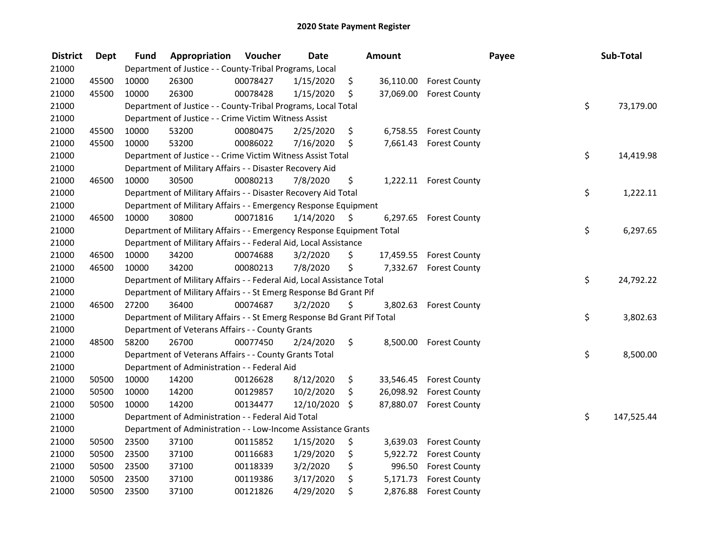| <b>District</b> | <b>Dept</b> | <b>Fund</b> | Appropriation                                                           | Voucher  | <b>Date</b> | Amount          |                        | Payee | Sub-Total  |
|-----------------|-------------|-------------|-------------------------------------------------------------------------|----------|-------------|-----------------|------------------------|-------|------------|
| 21000           |             |             | Department of Justice - - County-Tribal Programs, Local                 |          |             |                 |                        |       |            |
| 21000           | 45500       | 10000       | 26300                                                                   | 00078427 | 1/15/2020   | \$<br>36,110.00 | <b>Forest County</b>   |       |            |
| 21000           | 45500       | 10000       | 26300                                                                   | 00078428 | 1/15/2020   | \$<br>37,069.00 | <b>Forest County</b>   |       |            |
| 21000           |             |             | Department of Justice - - County-Tribal Programs, Local Total           |          |             |                 |                        | \$    | 73,179.00  |
| 21000           |             |             | Department of Justice - - Crime Victim Witness Assist                   |          |             |                 |                        |       |            |
| 21000           | 45500       | 10000       | 53200                                                                   | 00080475 | 2/25/2020   | \$<br>6,758.55  | <b>Forest County</b>   |       |            |
| 21000           | 45500       | 10000       | 53200                                                                   | 00086022 | 7/16/2020   | \$<br>7,661.43  | <b>Forest County</b>   |       |            |
| 21000           |             |             | Department of Justice - - Crime Victim Witness Assist Total             |          |             |                 |                        | \$    | 14,419.98  |
| 21000           |             |             | Department of Military Affairs - - Disaster Recovery Aid                |          |             |                 |                        |       |            |
| 21000           | 46500       | 10000       | 30500                                                                   | 00080213 | 7/8/2020    | \$              | 1,222.11 Forest County |       |            |
| 21000           |             |             | Department of Military Affairs - - Disaster Recovery Aid Total          |          |             |                 |                        | \$    | 1,222.11   |
| 21000           |             |             | Department of Military Affairs - - Emergency Response Equipment         |          |             |                 |                        |       |            |
| 21000           | 46500       | 10000       | 30800                                                                   | 00071816 | 1/14/2020   | \$<br>6,297.65  | <b>Forest County</b>   |       |            |
| 21000           |             |             | Department of Military Affairs - - Emergency Response Equipment Total   |          |             |                 |                        | \$    | 6,297.65   |
| 21000           |             |             | Department of Military Affairs - - Federal Aid, Local Assistance        |          |             |                 |                        |       |            |
| 21000           | 46500       | 10000       | 34200                                                                   | 00074688 | 3/2/2020    | \$<br>17,459.55 | <b>Forest County</b>   |       |            |
| 21000           | 46500       | 10000       | 34200                                                                   | 00080213 | 7/8/2020    | \$<br>7,332.67  | <b>Forest County</b>   |       |            |
| 21000           |             |             | Department of Military Affairs - - Federal Aid, Local Assistance Total  |          |             |                 |                        | \$    | 24,792.22  |
| 21000           |             |             | Department of Military Affairs - - St Emerg Response Bd Grant Pif       |          |             |                 |                        |       |            |
| 21000           | 46500       | 27200       | 36400                                                                   | 00074687 | 3/2/2020    | \$<br>3,802.63  | <b>Forest County</b>   |       |            |
| 21000           |             |             | Department of Military Affairs - - St Emerg Response Bd Grant Pif Total |          |             |                 |                        | \$    | 3,802.63   |
| 21000           |             |             | Department of Veterans Affairs - - County Grants                        |          |             |                 |                        |       |            |
| 21000           | 48500       | 58200       | 26700                                                                   | 00077450 | 2/24/2020   | \$<br>8,500.00  | <b>Forest County</b>   |       |            |
| 21000           |             |             | Department of Veterans Affairs - - County Grants Total                  |          |             |                 |                        | \$    | 8,500.00   |
| 21000           |             |             | Department of Administration - - Federal Aid                            |          |             |                 |                        |       |            |
| 21000           | 50500       | 10000       | 14200                                                                   | 00126628 | 8/12/2020   | \$<br>33,546.45 | <b>Forest County</b>   |       |            |
| 21000           | 50500       | 10000       | 14200                                                                   | 00129857 | 10/2/2020   | \$<br>26,098.92 | <b>Forest County</b>   |       |            |
| 21000           | 50500       | 10000       | 14200                                                                   | 00134477 | 12/10/2020  | \$<br>87,880.07 | <b>Forest County</b>   |       |            |
| 21000           |             |             | Department of Administration - - Federal Aid Total                      |          |             |                 |                        | \$    | 147,525.44 |
| 21000           |             |             | Department of Administration - - Low-Income Assistance Grants           |          |             |                 |                        |       |            |
| 21000           | 50500       | 23500       | 37100                                                                   | 00115852 | 1/15/2020   | \$<br>3,639.03  | <b>Forest County</b>   |       |            |
| 21000           | 50500       | 23500       | 37100                                                                   | 00116683 | 1/29/2020   | \$<br>5,922.72  | <b>Forest County</b>   |       |            |
| 21000           | 50500       | 23500       | 37100                                                                   | 00118339 | 3/2/2020    | \$<br>996.50    | <b>Forest County</b>   |       |            |
| 21000           | 50500       | 23500       | 37100                                                                   | 00119386 | 3/17/2020   | \$<br>5,171.73  | <b>Forest County</b>   |       |            |
| 21000           | 50500       | 23500       | 37100                                                                   | 00121826 | 4/29/2020   | \$<br>2,876.88  | <b>Forest County</b>   |       |            |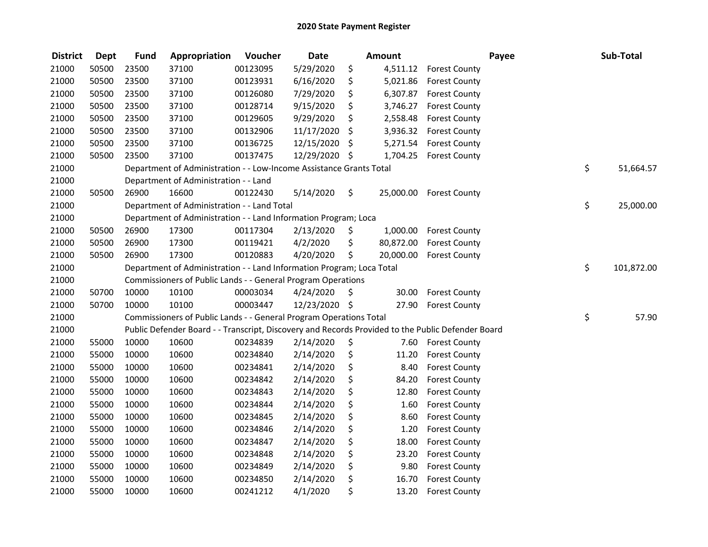| <b>District</b> | <b>Dept</b> | <b>Fund</b> | Appropriation                                                         | Voucher  | <b>Date</b>   | <b>Amount</b>   | Payee                                                                                             | Sub-Total        |
|-----------------|-------------|-------------|-----------------------------------------------------------------------|----------|---------------|-----------------|---------------------------------------------------------------------------------------------------|------------------|
| 21000           | 50500       | 23500       | 37100                                                                 | 00123095 | 5/29/2020     | \$              | 4,511.12 Forest County                                                                            |                  |
| 21000           | 50500       | 23500       | 37100                                                                 | 00123931 | 6/16/2020     | \$<br>5,021.86  | <b>Forest County</b>                                                                              |                  |
| 21000           | 50500       | 23500       | 37100                                                                 | 00126080 | 7/29/2020     | \$<br>6,307.87  | <b>Forest County</b>                                                                              |                  |
| 21000           | 50500       | 23500       | 37100                                                                 | 00128714 | 9/15/2020     | \$<br>3,746.27  | <b>Forest County</b>                                                                              |                  |
| 21000           | 50500       | 23500       | 37100                                                                 | 00129605 | 9/29/2020     | \$<br>2,558.48  | <b>Forest County</b>                                                                              |                  |
| 21000           | 50500       | 23500       | 37100                                                                 | 00132906 | 11/17/2020    | \$<br>3,936.32  | <b>Forest County</b>                                                                              |                  |
| 21000           | 50500       | 23500       | 37100                                                                 | 00136725 | 12/15/2020    | \$<br>5,271.54  | <b>Forest County</b>                                                                              |                  |
| 21000           | 50500       | 23500       | 37100                                                                 | 00137475 | 12/29/2020 \$ | 1,704.25        | <b>Forest County</b>                                                                              |                  |
| 21000           |             |             | Department of Administration - - Low-Income Assistance Grants Total   |          |               |                 |                                                                                                   | \$<br>51,664.57  |
| 21000           |             |             | Department of Administration - - Land                                 |          |               |                 |                                                                                                   |                  |
| 21000           | 50500       | 26900       | 16600                                                                 | 00122430 | 5/14/2020     | \$              | 25,000.00 Forest County                                                                           |                  |
| 21000           |             |             | Department of Administration - - Land Total                           |          |               |                 |                                                                                                   | \$<br>25,000.00  |
| 21000           |             |             | Department of Administration - - Land Information Program; Loca       |          |               |                 |                                                                                                   |                  |
| 21000           | 50500       | 26900       | 17300                                                                 | 00117304 | 2/13/2020     | \$<br>1,000.00  | <b>Forest County</b>                                                                              |                  |
| 21000           | 50500       | 26900       | 17300                                                                 | 00119421 | 4/2/2020      | \$<br>80,872.00 | <b>Forest County</b>                                                                              |                  |
| 21000           | 50500       | 26900       | 17300                                                                 | 00120883 | 4/20/2020     | \$<br>20,000.00 | <b>Forest County</b>                                                                              |                  |
| 21000           |             |             | Department of Administration - - Land Information Program; Loca Total |          |               |                 |                                                                                                   | \$<br>101,872.00 |
| 21000           |             |             | Commissioners of Public Lands - - General Program Operations          |          |               |                 |                                                                                                   |                  |
| 21000           | 50700       | 10000       | 10100                                                                 | 00003034 | 4/24/2020     | \$<br>30.00     | <b>Forest County</b>                                                                              |                  |
| 21000           | 50700       | 10000       | 10100                                                                 | 00003447 | 12/23/2020 \$ | 27.90           | <b>Forest County</b>                                                                              |                  |
| 21000           |             |             | Commissioners of Public Lands - - General Program Operations Total    |          |               |                 |                                                                                                   | \$<br>57.90      |
| 21000           |             |             |                                                                       |          |               |                 | Public Defender Board - - Transcript, Discovery and Records Provided to the Public Defender Board |                  |
| 21000           | 55000       | 10000       | 10600                                                                 | 00234839 | 2/14/2020     | \$<br>7.60      | <b>Forest County</b>                                                                              |                  |
| 21000           | 55000       | 10000       | 10600                                                                 | 00234840 | 2/14/2020     | \$<br>11.20     | <b>Forest County</b>                                                                              |                  |
| 21000           | 55000       | 10000       | 10600                                                                 | 00234841 | 2/14/2020     | \$<br>8.40      | <b>Forest County</b>                                                                              |                  |
| 21000           | 55000       | 10000       | 10600                                                                 | 00234842 | 2/14/2020     | \$<br>84.20     | <b>Forest County</b>                                                                              |                  |
| 21000           | 55000       | 10000       | 10600                                                                 | 00234843 | 2/14/2020     | \$<br>12.80     | <b>Forest County</b>                                                                              |                  |
| 21000           | 55000       | 10000       | 10600                                                                 | 00234844 | 2/14/2020     | \$<br>1.60      | <b>Forest County</b>                                                                              |                  |
| 21000           | 55000       | 10000       | 10600                                                                 | 00234845 | 2/14/2020     | \$<br>8.60      | <b>Forest County</b>                                                                              |                  |
| 21000           | 55000       | 10000       | 10600                                                                 | 00234846 | 2/14/2020     | \$<br>1.20      | <b>Forest County</b>                                                                              |                  |
| 21000           | 55000       | 10000       | 10600                                                                 | 00234847 | 2/14/2020     | \$<br>18.00     | <b>Forest County</b>                                                                              |                  |
| 21000           | 55000       | 10000       | 10600                                                                 | 00234848 | 2/14/2020     | \$<br>23.20     | <b>Forest County</b>                                                                              |                  |
| 21000           | 55000       | 10000       | 10600                                                                 | 00234849 | 2/14/2020     | \$<br>9.80      | <b>Forest County</b>                                                                              |                  |
| 21000           | 55000       | 10000       | 10600                                                                 | 00234850 | 2/14/2020     | \$<br>16.70     | <b>Forest County</b>                                                                              |                  |
| 21000           | 55000       | 10000       | 10600                                                                 | 00241212 | 4/1/2020      | \$<br>13.20     | <b>Forest County</b>                                                                              |                  |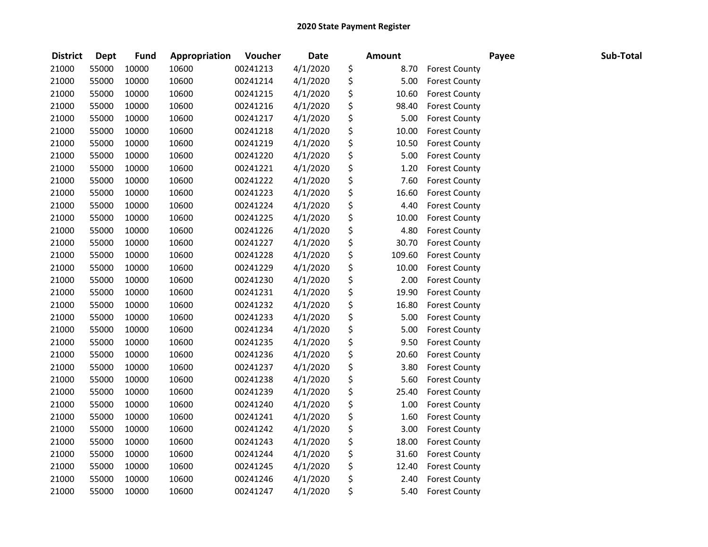| <b>District</b> | <b>Dept</b> | <b>Fund</b> | Appropriation | Voucher  | <b>Date</b> | Amount       |                      | Payee | Sub-Total |
|-----------------|-------------|-------------|---------------|----------|-------------|--------------|----------------------|-------|-----------|
| 21000           | 55000       | 10000       | 10600         | 00241213 | 4/1/2020    | \$<br>8.70   | <b>Forest County</b> |       |           |
| 21000           | 55000       | 10000       | 10600         | 00241214 | 4/1/2020    | \$<br>5.00   | <b>Forest County</b> |       |           |
| 21000           | 55000       | 10000       | 10600         | 00241215 | 4/1/2020    | \$<br>10.60  | <b>Forest County</b> |       |           |
| 21000           | 55000       | 10000       | 10600         | 00241216 | 4/1/2020    | \$<br>98.40  | <b>Forest County</b> |       |           |
| 21000           | 55000       | 10000       | 10600         | 00241217 | 4/1/2020    | \$<br>5.00   | <b>Forest County</b> |       |           |
| 21000           | 55000       | 10000       | 10600         | 00241218 | 4/1/2020    | \$<br>10.00  | <b>Forest County</b> |       |           |
| 21000           | 55000       | 10000       | 10600         | 00241219 | 4/1/2020    | \$<br>10.50  | <b>Forest County</b> |       |           |
| 21000           | 55000       | 10000       | 10600         | 00241220 | 4/1/2020    | \$<br>5.00   | <b>Forest County</b> |       |           |
| 21000           | 55000       | 10000       | 10600         | 00241221 | 4/1/2020    | \$<br>1.20   | <b>Forest County</b> |       |           |
| 21000           | 55000       | 10000       | 10600         | 00241222 | 4/1/2020    | \$<br>7.60   | <b>Forest County</b> |       |           |
| 21000           | 55000       | 10000       | 10600         | 00241223 | 4/1/2020    | \$<br>16.60  | <b>Forest County</b> |       |           |
| 21000           | 55000       | 10000       | 10600         | 00241224 | 4/1/2020    | \$<br>4.40   | <b>Forest County</b> |       |           |
| 21000           | 55000       | 10000       | 10600         | 00241225 | 4/1/2020    | \$<br>10.00  | <b>Forest County</b> |       |           |
| 21000           | 55000       | 10000       | 10600         | 00241226 | 4/1/2020    | \$<br>4.80   | <b>Forest County</b> |       |           |
| 21000           | 55000       | 10000       | 10600         | 00241227 | 4/1/2020    | \$<br>30.70  | <b>Forest County</b> |       |           |
| 21000           | 55000       | 10000       | 10600         | 00241228 | 4/1/2020    | \$<br>109.60 | <b>Forest County</b> |       |           |
| 21000           | 55000       | 10000       | 10600         | 00241229 | 4/1/2020    | \$<br>10.00  | <b>Forest County</b> |       |           |
| 21000           | 55000       | 10000       | 10600         | 00241230 | 4/1/2020    | \$<br>2.00   | <b>Forest County</b> |       |           |
| 21000           | 55000       | 10000       | 10600         | 00241231 | 4/1/2020    | \$<br>19.90  | <b>Forest County</b> |       |           |
| 21000           | 55000       | 10000       | 10600         | 00241232 | 4/1/2020    | \$<br>16.80  | <b>Forest County</b> |       |           |
| 21000           | 55000       | 10000       | 10600         | 00241233 | 4/1/2020    | \$<br>5.00   | <b>Forest County</b> |       |           |
| 21000           | 55000       | 10000       | 10600         | 00241234 | 4/1/2020    | \$<br>5.00   | <b>Forest County</b> |       |           |
| 21000           | 55000       | 10000       | 10600         | 00241235 | 4/1/2020    | \$<br>9.50   | <b>Forest County</b> |       |           |
| 21000           | 55000       | 10000       | 10600         | 00241236 | 4/1/2020    | \$<br>20.60  | <b>Forest County</b> |       |           |
| 21000           | 55000       | 10000       | 10600         | 00241237 | 4/1/2020    | \$<br>3.80   | <b>Forest County</b> |       |           |
| 21000           | 55000       | 10000       | 10600         | 00241238 | 4/1/2020    | \$<br>5.60   | <b>Forest County</b> |       |           |
| 21000           | 55000       | 10000       | 10600         | 00241239 | 4/1/2020    | \$<br>25.40  | <b>Forest County</b> |       |           |
| 21000           | 55000       | 10000       | 10600         | 00241240 | 4/1/2020    | \$<br>1.00   | <b>Forest County</b> |       |           |
| 21000           | 55000       | 10000       | 10600         | 00241241 | 4/1/2020    | \$<br>1.60   | <b>Forest County</b> |       |           |
| 21000           | 55000       | 10000       | 10600         | 00241242 | 4/1/2020    | \$<br>3.00   | <b>Forest County</b> |       |           |
| 21000           | 55000       | 10000       | 10600         | 00241243 | 4/1/2020    | \$<br>18.00  | <b>Forest County</b> |       |           |
| 21000           | 55000       | 10000       | 10600         | 00241244 | 4/1/2020    | \$<br>31.60  | <b>Forest County</b> |       |           |
| 21000           | 55000       | 10000       | 10600         | 00241245 | 4/1/2020    | \$<br>12.40  | <b>Forest County</b> |       |           |
| 21000           | 55000       | 10000       | 10600         | 00241246 | 4/1/2020    | \$<br>2.40   | <b>Forest County</b> |       |           |
| 21000           | 55000       | 10000       | 10600         | 00241247 | 4/1/2020    | \$<br>5.40   | <b>Forest County</b> |       |           |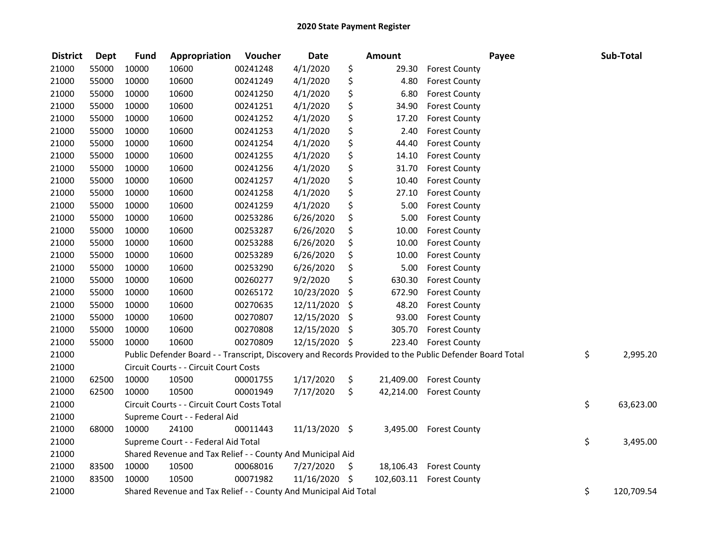| <b>District</b> | <b>Dept</b> | <b>Fund</b> | Appropriation                                                                                           | Voucher  | <b>Date</b>   |         | <b>Amount</b> |                         | Payee | Sub-Total        |
|-----------------|-------------|-------------|---------------------------------------------------------------------------------------------------------|----------|---------------|---------|---------------|-------------------------|-------|------------------|
| 21000           | 55000       | 10000       | 10600                                                                                                   | 00241248 | 4/1/2020      | \$      | 29.30         | <b>Forest County</b>    |       |                  |
| 21000           | 55000       | 10000       | 10600                                                                                                   | 00241249 | 4/1/2020      | \$      | 4.80          | <b>Forest County</b>    |       |                  |
| 21000           | 55000       | 10000       | 10600                                                                                                   | 00241250 | 4/1/2020      | \$      | 6.80          | <b>Forest County</b>    |       |                  |
| 21000           | 55000       | 10000       | 10600                                                                                                   | 00241251 | 4/1/2020      | \$      | 34.90         | <b>Forest County</b>    |       |                  |
| 21000           | 55000       | 10000       | 10600                                                                                                   | 00241252 | 4/1/2020      | \$      | 17.20         | <b>Forest County</b>    |       |                  |
| 21000           | 55000       | 10000       | 10600                                                                                                   | 00241253 | 4/1/2020      | \$      | 2.40          | <b>Forest County</b>    |       |                  |
| 21000           | 55000       | 10000       | 10600                                                                                                   | 00241254 | 4/1/2020      | \$      | 44.40         | <b>Forest County</b>    |       |                  |
| 21000           | 55000       | 10000       | 10600                                                                                                   | 00241255 | 4/1/2020      | \$      | 14.10         | <b>Forest County</b>    |       |                  |
| 21000           | 55000       | 10000       | 10600                                                                                                   | 00241256 | 4/1/2020      | \$      | 31.70         | <b>Forest County</b>    |       |                  |
| 21000           | 55000       | 10000       | 10600                                                                                                   | 00241257 | 4/1/2020      | \$      | 10.40         | <b>Forest County</b>    |       |                  |
| 21000           | 55000       | 10000       | 10600                                                                                                   | 00241258 | 4/1/2020      | \$      | 27.10         | <b>Forest County</b>    |       |                  |
| 21000           | 55000       | 10000       | 10600                                                                                                   | 00241259 | 4/1/2020      | \$      | 5.00          | <b>Forest County</b>    |       |                  |
| 21000           | 55000       | 10000       | 10600                                                                                                   | 00253286 | 6/26/2020     | \$      | 5.00          | <b>Forest County</b>    |       |                  |
| 21000           | 55000       | 10000       | 10600                                                                                                   | 00253287 | 6/26/2020     | \$      | 10.00         | <b>Forest County</b>    |       |                  |
| 21000           | 55000       | 10000       | 10600                                                                                                   | 00253288 | 6/26/2020     | \$      | 10.00         | <b>Forest County</b>    |       |                  |
| 21000           | 55000       | 10000       | 10600                                                                                                   | 00253289 | 6/26/2020     | \$      | 10.00         | <b>Forest County</b>    |       |                  |
| 21000           | 55000       | 10000       | 10600                                                                                                   | 00253290 | 6/26/2020     | \$      | 5.00          | <b>Forest County</b>    |       |                  |
| 21000           | 55000       | 10000       | 10600                                                                                                   | 00260277 | 9/2/2020      | \$      | 630.30        | <b>Forest County</b>    |       |                  |
| 21000           | 55000       | 10000       | 10600                                                                                                   | 00265172 | 10/23/2020    | \$      | 672.90        | <b>Forest County</b>    |       |                  |
| 21000           | 55000       | 10000       | 10600                                                                                                   | 00270635 | 12/11/2020    | \$      | 48.20         | <b>Forest County</b>    |       |                  |
| 21000           | 55000       | 10000       | 10600                                                                                                   | 00270807 | 12/15/2020    | \$      | 93.00         | <b>Forest County</b>    |       |                  |
| 21000           | 55000       | 10000       | 10600                                                                                                   | 00270808 | 12/15/2020    | $\zeta$ | 305.70        | <b>Forest County</b>    |       |                  |
| 21000           | 55000       | 10000       | 10600                                                                                                   | 00270809 | 12/15/2020 \$ |         | 223.40        | <b>Forest County</b>    |       |                  |
| 21000           |             |             | Public Defender Board - - Transcript, Discovery and Records Provided to the Public Defender Board Total |          |               |         |               |                         |       | \$<br>2,995.20   |
| 21000           |             |             | Circuit Courts - - Circuit Court Costs                                                                  |          |               |         |               |                         |       |                  |
| 21000           | 62500       | 10000       | 10500                                                                                                   | 00001755 | 1/17/2020     | \$      | 21,409.00     | <b>Forest County</b>    |       |                  |
| 21000           | 62500       | 10000       | 10500                                                                                                   | 00001949 | 7/17/2020     | \$      | 42,214.00     | <b>Forest County</b>    |       |                  |
| 21000           |             |             | Circuit Courts - - Circuit Court Costs Total                                                            |          |               |         |               |                         |       | \$<br>63,623.00  |
| 21000           |             |             | Supreme Court - - Federal Aid                                                                           |          |               |         |               |                         |       |                  |
| 21000           | 68000       | 10000       | 24100                                                                                                   | 00011443 | 11/13/2020 \$ |         | 3,495.00      | <b>Forest County</b>    |       |                  |
| 21000           |             |             | Supreme Court - - Federal Aid Total                                                                     |          |               |         |               |                         |       | \$<br>3,495.00   |
| 21000           |             |             | Shared Revenue and Tax Relief - - County And Municipal Aid                                              |          |               |         |               |                         |       |                  |
| 21000           | 83500       | 10000       | 10500                                                                                                   | 00068016 | 7/27/2020     | $\zeta$ |               | 18,106.43 Forest County |       |                  |
| 21000           | 83500       | 10000       | 10500                                                                                                   | 00071982 | 11/16/2020 \$ |         | 102,603.11    | <b>Forest County</b>    |       |                  |
| 21000           |             |             | Shared Revenue and Tax Relief - - County And Municipal Aid Total                                        |          |               |         |               |                         |       | \$<br>120,709.54 |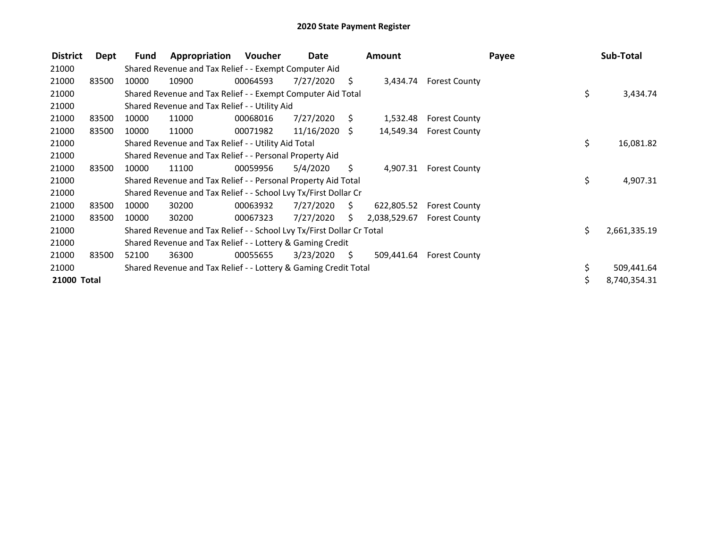| <b>District</b> | Dept  | Fund  | Appropriation                                                         | Voucher  | Date            |      | Amount       |                      | Payee |     | Sub-Total    |
|-----------------|-------|-------|-----------------------------------------------------------------------|----------|-----------------|------|--------------|----------------------|-------|-----|--------------|
| 21000           |       |       | Shared Revenue and Tax Relief - - Exempt Computer Aid                 |          |                 |      |              |                      |       |     |              |
| 21000           | 83500 | 10000 | 10900                                                                 | 00064593 | 7/27/2020       | \$   | 3,434.74     | <b>Forest County</b> |       |     |              |
| 21000           |       |       | Shared Revenue and Tax Relief - - Exempt Computer Aid Total           |          |                 |      |              |                      |       | \$  | 3,434.74     |
| 21000           |       |       | Shared Revenue and Tax Relief - - Utility Aid                         |          |                 |      |              |                      |       |     |              |
| 21000           | 83500 | 10000 | 11000                                                                 | 00068016 | 7/27/2020       | S.   | 1,532.48     | <b>Forest County</b> |       |     |              |
| 21000           | 83500 | 10000 | 11000                                                                 | 00071982 | $11/16/2020$ \$ |      | 14,549.34    | <b>Forest County</b> |       |     |              |
| 21000           |       |       | Shared Revenue and Tax Relief - - Utility Aid Total                   |          |                 |      |              |                      |       | \$. | 16,081.82    |
| 21000           |       |       | Shared Revenue and Tax Relief - - Personal Property Aid               |          |                 |      |              |                      |       |     |              |
| 21000           | 83500 | 10000 | 11100                                                                 | 00059956 | 5/4/2020        | S.   | 4,907.31     | <b>Forest County</b> |       |     |              |
| 21000           |       |       | Shared Revenue and Tax Relief - - Personal Property Aid Total         |          |                 |      |              |                      |       | \$  | 4,907.31     |
| 21000           |       |       | Shared Revenue and Tax Relief - - School Lvy Tx/First Dollar Cr       |          |                 |      |              |                      |       |     |              |
| 21000           | 83500 | 10000 | 30200                                                                 | 00063932 | 7/27/2020       | - \$ | 622,805.52   | <b>Forest County</b> |       |     |              |
| 21000           | 83500 | 10000 | 30200                                                                 | 00067323 | 7/27/2020       | S.   | 2,038,529.67 | <b>Forest County</b> |       |     |              |
| 21000           |       |       | Shared Revenue and Tax Relief - - School Lvy Tx/First Dollar Cr Total |          |                 |      |              |                      |       | \$. | 2,661,335.19 |
| 21000           |       |       | Shared Revenue and Tax Relief - - Lottery & Gaming Credit             |          |                 |      |              |                      |       |     |              |
| 21000           | 83500 | 52100 | 36300                                                                 | 00055655 | 3/23/2020       | S.   | 509,441.64   | <b>Forest County</b> |       |     |              |
| 21000           |       |       | Shared Revenue and Tax Relief - - Lottery & Gaming Credit Total       |          |                 |      |              |                      |       |     | 509,441.64   |
| 21000 Total     |       |       |                                                                       |          |                 |      |              |                      |       | \$  | 8,740,354.31 |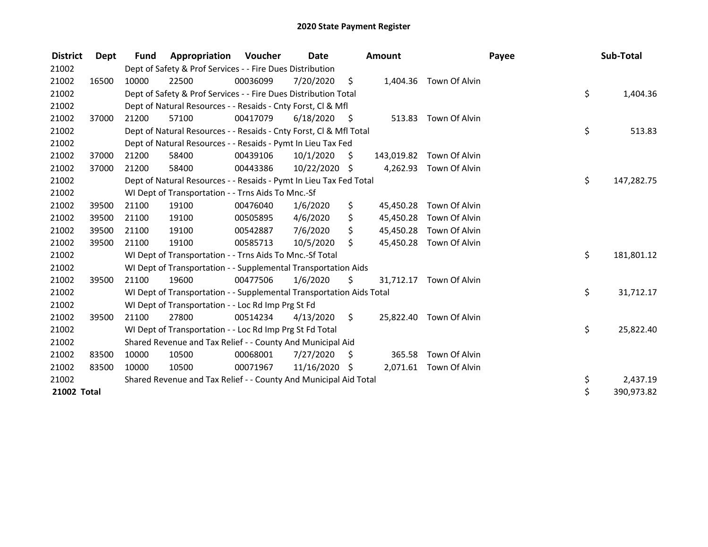| <b>District</b> | Dept  | <b>Fund</b> | Appropriation                                                        | Voucher  | Date          |      | <b>Amount</b> |                          | Payee | Sub-Total  |
|-----------------|-------|-------------|----------------------------------------------------------------------|----------|---------------|------|---------------|--------------------------|-------|------------|
| 21002           |       |             | Dept of Safety & Prof Services - - Fire Dues Distribution            |          |               |      |               |                          |       |            |
| 21002           | 16500 | 10000       | 22500                                                                | 00036099 | 7/20/2020     | - \$ |               | 1,404.36 Town Of Alvin   |       |            |
| 21002           |       |             | Dept of Safety & Prof Services - - Fire Dues Distribution Total      |          |               |      |               |                          | \$    | 1,404.36   |
| 21002           |       |             | Dept of Natural Resources - - Resaids - Cnty Forst, CI & Mfl         |          |               |      |               |                          |       |            |
| 21002           | 37000 | 21200       | 57100                                                                | 00417079 | 6/18/2020     | - \$ | 513.83        | Town Of Alvin            |       |            |
| 21002           |       |             | Dept of Natural Resources - - Resaids - Cnty Forst, Cl & Mfl Total   |          |               |      |               |                          | \$    | 513.83     |
| 21002           |       |             | Dept of Natural Resources - - Resaids - Pymt In Lieu Tax Fed         |          |               |      |               |                          |       |            |
| 21002           | 37000 | 21200       | 58400                                                                | 00439106 | 10/1/2020     | \$   |               | 143,019.82 Town Of Alvin |       |            |
| 21002           | 37000 | 21200       | 58400                                                                | 00443386 | 10/22/2020 \$ |      |               | 4,262.93 Town Of Alvin   |       |            |
| 21002           |       |             | Dept of Natural Resources - - Resaids - Pymt In Lieu Tax Fed Total   |          |               |      |               |                          | \$    | 147,282.75 |
| 21002           |       |             | WI Dept of Transportation - - Trns Aids To Mnc.-Sf                   |          |               |      |               |                          |       |            |
| 21002           | 39500 | 21100       | 19100                                                                | 00476040 | 1/6/2020      | \$   | 45,450.28     | Town Of Alvin            |       |            |
| 21002           | 39500 | 21100       | 19100                                                                | 00505895 | 4/6/2020      | \$   | 45,450.28     | Town Of Alvin            |       |            |
| 21002           | 39500 | 21100       | 19100                                                                | 00542887 | 7/6/2020      | \$   | 45,450.28     | Town Of Alvin            |       |            |
| 21002           | 39500 | 21100       | 19100                                                                | 00585713 | 10/5/2020     | \$   | 45,450.28     | Town Of Alvin            |       |            |
| 21002           |       |             | WI Dept of Transportation - - Trns Aids To Mnc.-Sf Total             |          |               |      |               |                          | \$    | 181,801.12 |
| 21002           |       |             | WI Dept of Transportation - - Supplemental Transportation Aids       |          |               |      |               |                          |       |            |
| 21002           | 39500 | 21100       | 19600                                                                | 00477506 | 1/6/2020      | \$   | 31,712.17     | Town Of Alvin            |       |            |
| 21002           |       |             | WI Dept of Transportation - - Supplemental Transportation Aids Total |          |               |      |               |                          | \$    | 31,712.17  |
| 21002           |       |             | WI Dept of Transportation - - Loc Rd Imp Prg St Fd                   |          |               |      |               |                          |       |            |
| 21002           | 39500 | 21100       | 27800                                                                | 00514234 | 4/13/2020     | \$   | 25,822.40     | Town Of Alvin            |       |            |
| 21002           |       |             | WI Dept of Transportation - - Loc Rd Imp Prg St Fd Total             |          |               |      |               |                          | \$    | 25,822.40  |
| 21002           |       |             | Shared Revenue and Tax Relief - - County And Municipal Aid           |          |               |      |               |                          |       |            |
| 21002           | 83500 | 10000       | 10500                                                                | 00068001 | 7/27/2020     | S    | 365.58        | Town Of Alvin            |       |            |
| 21002           | 83500 | 10000       | 10500                                                                | 00071967 | 11/16/2020    | \$   | 2,071.61      | Town Of Alvin            |       |            |
| 21002           |       |             | Shared Revenue and Tax Relief - - County And Municipal Aid Total     |          |               |      |               |                          | \$    | 2,437.19   |
| 21002 Total     |       |             |                                                                      |          |               |      |               |                          | \$    | 390,973.82 |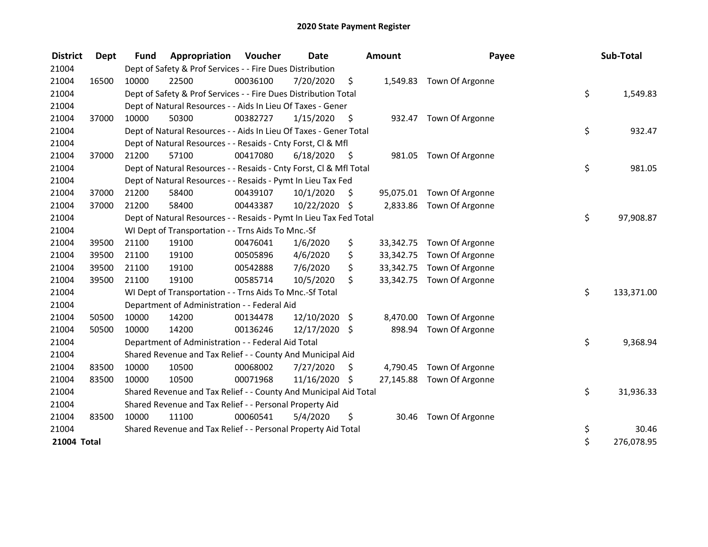| <b>District</b> | <b>Dept</b> | <b>Fund</b> | Appropriation                                                      | Voucher  | <b>Date</b>   |      | Amount    | Payee                     | Sub-Total        |
|-----------------|-------------|-------------|--------------------------------------------------------------------|----------|---------------|------|-----------|---------------------------|------------------|
| 21004           |             |             | Dept of Safety & Prof Services - - Fire Dues Distribution          |          |               |      |           |                           |                  |
| 21004           | 16500       | 10000       | 22500                                                              | 00036100 | 7/20/2020     | \$   |           | 1,549.83 Town Of Argonne  |                  |
| 21004           |             |             | Dept of Safety & Prof Services - - Fire Dues Distribution Total    |          |               |      |           |                           | \$<br>1,549.83   |
| 21004           |             |             | Dept of Natural Resources - - Aids In Lieu Of Taxes - Gener        |          |               |      |           |                           |                  |
| 21004           | 37000       | 10000       | 50300                                                              | 00382727 | 1/15/2020     | - \$ | 932.47    | Town Of Argonne           |                  |
| 21004           |             |             | Dept of Natural Resources - - Aids In Lieu Of Taxes - Gener Total  |          |               |      |           |                           | \$<br>932.47     |
| 21004           |             |             | Dept of Natural Resources - - Resaids - Cnty Forst, Cl & Mfl       |          |               |      |           |                           |                  |
| 21004           | 37000       | 21200       | 57100                                                              | 00417080 | 6/18/2020     | - \$ | 981.05    | Town Of Argonne           |                  |
| 21004           |             |             | Dept of Natural Resources - - Resaids - Cnty Forst, Cl & Mfl Total |          |               |      |           |                           | \$<br>981.05     |
| 21004           |             |             | Dept of Natural Resources - - Resaids - Pymt In Lieu Tax Fed       |          |               |      |           |                           |                  |
| 21004           | 37000       | 21200       | 58400                                                              | 00439107 | 10/1/2020     | \$   |           | 95,075.01 Town Of Argonne |                  |
| 21004           | 37000       | 21200       | 58400                                                              | 00443387 | 10/22/2020 \$ |      |           | 2,833.86 Town Of Argonne  |                  |
| 21004           |             |             | Dept of Natural Resources - - Resaids - Pymt In Lieu Tax Fed Total |          |               |      |           |                           | \$<br>97,908.87  |
| 21004           |             |             | WI Dept of Transportation - - Trns Aids To Mnc.-Sf                 |          |               |      |           |                           |                  |
| 21004           | 39500       | 21100       | 19100                                                              | 00476041 | 1/6/2020      | \$   | 33,342.75 | Town Of Argonne           |                  |
| 21004           | 39500       | 21100       | 19100                                                              | 00505896 | 4/6/2020      | \$   | 33,342.75 | Town Of Argonne           |                  |
| 21004           | 39500       | 21100       | 19100                                                              | 00542888 | 7/6/2020      | \$   | 33,342.75 | Town Of Argonne           |                  |
| 21004           | 39500       | 21100       | 19100                                                              | 00585714 | 10/5/2020     | \$   | 33,342.75 | Town Of Argonne           |                  |
| 21004           |             |             | WI Dept of Transportation - - Trns Aids To Mnc.-Sf Total           |          |               |      |           |                           | \$<br>133,371.00 |
| 21004           |             |             | Department of Administration - - Federal Aid                       |          |               |      |           |                           |                  |
| 21004           | 50500       | 10000       | 14200                                                              | 00134478 | 12/10/2020    | \$.  | 8,470.00  | Town Of Argonne           |                  |
| 21004           | 50500       | 10000       | 14200                                                              | 00136246 | 12/17/2020 \$ |      | 898.94    | Town Of Argonne           |                  |
| 21004           |             |             | Department of Administration - - Federal Aid Total                 |          |               |      |           |                           | \$<br>9,368.94   |
| 21004           |             |             | Shared Revenue and Tax Relief - - County And Municipal Aid         |          |               |      |           |                           |                  |
| 21004           | 83500       | 10000       | 10500                                                              | 00068002 | 7/27/2020     | \$   | 4,790.45  | Town Of Argonne           |                  |
| 21004           | 83500       | 10000       | 10500                                                              | 00071968 | 11/16/2020 \$ |      |           | 27,145.88 Town Of Argonne |                  |
| 21004           |             |             | Shared Revenue and Tax Relief - - County And Municipal Aid Total   |          |               |      |           |                           | \$<br>31,936.33  |
| 21004           |             |             | Shared Revenue and Tax Relief - - Personal Property Aid            |          |               |      |           |                           |                  |
| 21004           | 83500       | 10000       | 11100                                                              | 00060541 | 5/4/2020      | \$   | 30.46     | Town Of Argonne           |                  |
| 21004           |             |             | Shared Revenue and Tax Relief - - Personal Property Aid Total      |          |               |      |           |                           | \$<br>30.46      |
| 21004 Total     |             |             |                                                                    |          |               |      |           |                           | \$<br>276,078.95 |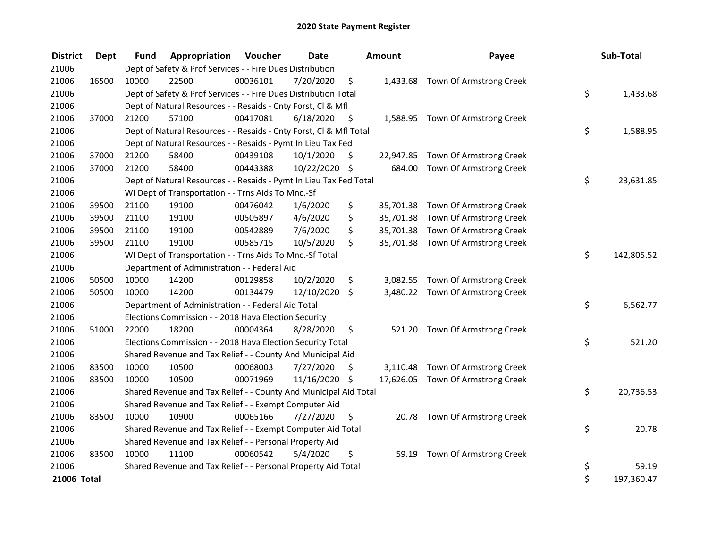| <b>District</b> | <b>Dept</b> | <b>Fund</b> | Appropriation                                                      | Voucher  | <b>Date</b>   |      | Amount   | Payee                             | Sub-Total        |
|-----------------|-------------|-------------|--------------------------------------------------------------------|----------|---------------|------|----------|-----------------------------------|------------------|
| 21006           |             |             | Dept of Safety & Prof Services - - Fire Dues Distribution          |          |               |      |          |                                   |                  |
| 21006           | 16500       | 10000       | 22500                                                              | 00036101 | 7/20/2020     | \$   |          | 1,433.68 Town Of Armstrong Creek  |                  |
| 21006           |             |             | Dept of Safety & Prof Services - - Fire Dues Distribution Total    |          |               |      |          |                                   | \$<br>1,433.68   |
| 21006           |             |             | Dept of Natural Resources - - Resaids - Cnty Forst, Cl & Mfl       |          |               |      |          |                                   |                  |
| 21006           | 37000       | 21200       | 57100                                                              | 00417081 | 6/18/2020     | - \$ |          | 1,588.95 Town Of Armstrong Creek  |                  |
| 21006           |             |             | Dept of Natural Resources - - Resaids - Cnty Forst, Cl & Mfl Total |          |               |      |          |                                   | \$<br>1,588.95   |
| 21006           |             |             | Dept of Natural Resources - - Resaids - Pymt In Lieu Tax Fed       |          |               |      |          |                                   |                  |
| 21006           | 37000       | 21200       | 58400                                                              | 00439108 | 10/1/2020     | \$   |          | 22,947.85 Town Of Armstrong Creek |                  |
| 21006           | 37000       | 21200       | 58400                                                              | 00443388 | 10/22/2020 \$ |      | 684.00   | Town Of Armstrong Creek           |                  |
| 21006           |             |             | Dept of Natural Resources - - Resaids - Pymt In Lieu Tax Fed Total |          |               |      |          |                                   | \$<br>23,631.85  |
| 21006           |             |             | WI Dept of Transportation - - Trns Aids To Mnc.-Sf                 |          |               |      |          |                                   |                  |
| 21006           | 39500       | 21100       | 19100                                                              | 00476042 | 1/6/2020      | \$   |          | 35,701.38 Town Of Armstrong Creek |                  |
| 21006           | 39500       | 21100       | 19100                                                              | 00505897 | 4/6/2020      | \$   |          | 35,701.38 Town Of Armstrong Creek |                  |
| 21006           | 39500       | 21100       | 19100                                                              | 00542889 | 7/6/2020      | \$   |          | 35,701.38 Town Of Armstrong Creek |                  |
| 21006           | 39500       | 21100       | 19100                                                              | 00585715 | 10/5/2020     | \$   |          | 35,701.38 Town Of Armstrong Creek |                  |
| 21006           |             |             | WI Dept of Transportation - - Trns Aids To Mnc.-Sf Total           |          |               |      |          |                                   | \$<br>142,805.52 |
| 21006           |             |             | Department of Administration - - Federal Aid                       |          |               |      |          |                                   |                  |
| 21006           | 50500       | 10000       | 14200                                                              | 00129858 | 10/2/2020     | \$   |          | 3,082.55 Town Of Armstrong Creek  |                  |
| 21006           | 50500       | 10000       | 14200                                                              | 00134479 | 12/10/2020    | \$   |          | 3,480.22 Town Of Armstrong Creek  |                  |
| 21006           |             |             | Department of Administration - - Federal Aid Total                 |          |               |      |          |                                   | \$<br>6,562.77   |
| 21006           |             |             | Elections Commission - - 2018 Hava Election Security               |          |               |      |          |                                   |                  |
| 21006           | 51000       | 22000       | 18200                                                              | 00004364 | 8/28/2020     | \$   | 521.20   | Town Of Armstrong Creek           |                  |
| 21006           |             |             | Elections Commission - - 2018 Hava Election Security Total         |          |               |      |          |                                   | \$<br>521.20     |
| 21006           |             |             | Shared Revenue and Tax Relief - - County And Municipal Aid         |          |               |      |          |                                   |                  |
| 21006           | 83500       | 10000       | 10500                                                              | 00068003 | 7/27/2020     | \$   | 3,110.48 | Town Of Armstrong Creek           |                  |
| 21006           | 83500       | 10000       | 10500                                                              | 00071969 | 11/16/2020 \$ |      |          | 17,626.05 Town Of Armstrong Creek |                  |
| 21006           |             |             | Shared Revenue and Tax Relief - - County And Municipal Aid Total   |          |               |      |          |                                   | \$<br>20,736.53  |
| 21006           |             |             | Shared Revenue and Tax Relief - - Exempt Computer Aid              |          |               |      |          |                                   |                  |
| 21006           | 83500       | 10000       | 10900                                                              | 00065166 | 7/27/2020     | \$   |          | 20.78 Town Of Armstrong Creek     |                  |
| 21006           |             |             | Shared Revenue and Tax Relief - - Exempt Computer Aid Total        |          |               |      |          |                                   | \$<br>20.78      |
| 21006           |             |             | Shared Revenue and Tax Relief - - Personal Property Aid            |          |               |      |          |                                   |                  |
| 21006           | 83500       | 10000       | 11100                                                              | 00060542 | 5/4/2020      | \$   | 59.19    | Town Of Armstrong Creek           |                  |
| 21006           |             |             | Shared Revenue and Tax Relief - - Personal Property Aid Total      |          |               |      |          |                                   | \$<br>59.19      |
| 21006 Total     |             |             |                                                                    |          |               |      |          |                                   | \$<br>197,360.47 |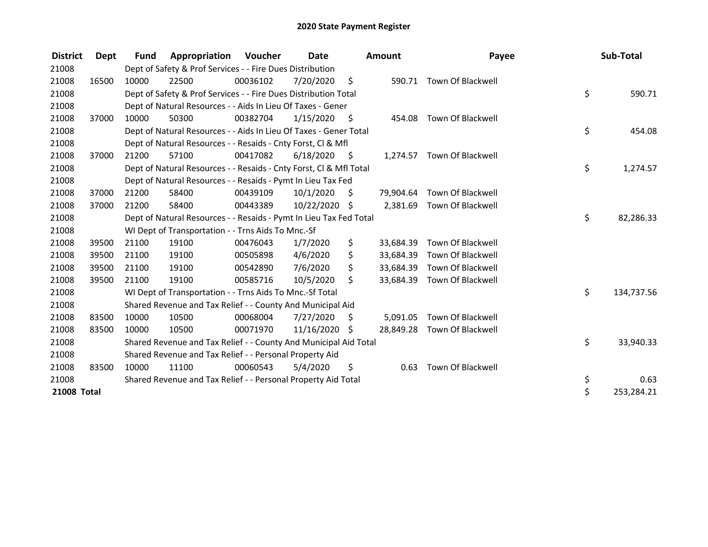| <b>District</b> | Dept  | <b>Fund</b> | Appropriation                                                      | Voucher  | Date          |      | <b>Amount</b> | Payee                      | Sub-Total        |
|-----------------|-------|-------------|--------------------------------------------------------------------|----------|---------------|------|---------------|----------------------------|------------------|
| 21008           |       |             | Dept of Safety & Prof Services - - Fire Dues Distribution          |          |               |      |               |                            |                  |
| 21008           | 16500 | 10000       | 22500                                                              | 00036102 | 7/20/2020     | - \$ | 590.71        | Town Of Blackwell          |                  |
| 21008           |       |             | Dept of Safety & Prof Services - - Fire Dues Distribution Total    |          |               |      |               |                            | \$<br>590.71     |
| 21008           |       |             | Dept of Natural Resources - - Aids In Lieu Of Taxes - Gener        |          |               |      |               |                            |                  |
| 21008           | 37000 | 10000       | 50300                                                              | 00382704 | 1/15/2020     | - \$ | 454.08        | <b>Town Of Blackwell</b>   |                  |
| 21008           |       |             | Dept of Natural Resources - - Aids In Lieu Of Taxes - Gener Total  |          |               |      |               |                            | \$<br>454.08     |
| 21008           |       |             | Dept of Natural Resources - - Resaids - Cnty Forst, CI & Mfl       |          |               |      |               |                            |                  |
| 21008           | 37000 | 21200       | 57100                                                              | 00417082 | 6/18/2020     | - \$ |               | 1,274.57 Town Of Blackwell |                  |
| 21008           |       |             | Dept of Natural Resources - - Resaids - Cnty Forst, Cl & Mfl Total |          |               |      |               |                            | \$<br>1,274.57   |
| 21008           |       |             | Dept of Natural Resources - - Resaids - Pymt In Lieu Tax Fed       |          |               |      |               |                            |                  |
| 21008           | 37000 | 21200       | 58400                                                              | 00439109 | 10/1/2020     | Ŝ.   | 79,904.64     | Town Of Blackwell          |                  |
| 21008           | 37000 | 21200       | 58400                                                              | 00443389 | 10/22/2020 \$ |      | 2,381.69      | Town Of Blackwell          |                  |
| 21008           |       |             | Dept of Natural Resources - - Resaids - Pymt In Lieu Tax Fed Total |          |               |      |               |                            | \$<br>82,286.33  |
| 21008           |       |             | WI Dept of Transportation - - Trns Aids To Mnc.-Sf                 |          |               |      |               |                            |                  |
| 21008           | 39500 | 21100       | 19100                                                              | 00476043 | 1/7/2020      | \$   | 33,684.39     | Town Of Blackwell          |                  |
| 21008           | 39500 | 21100       | 19100                                                              | 00505898 | 4/6/2020      | \$   | 33,684.39     | <b>Town Of Blackwell</b>   |                  |
| 21008           | 39500 | 21100       | 19100                                                              | 00542890 | 7/6/2020      | \$   | 33,684.39     | Town Of Blackwell          |                  |
| 21008           | 39500 | 21100       | 19100                                                              | 00585716 | 10/5/2020     | \$   | 33,684.39     | Town Of Blackwell          |                  |
| 21008           |       |             | WI Dept of Transportation - - Trns Aids To Mnc.-Sf Total           |          |               |      |               |                            | \$<br>134,737.56 |
| 21008           |       |             | Shared Revenue and Tax Relief - - County And Municipal Aid         |          |               |      |               |                            |                  |
| 21008           | 83500 | 10000       | 10500                                                              | 00068004 | 7/27/2020     | \$.  | 5,091.05      | <b>Town Of Blackwell</b>   |                  |
| 21008           | 83500 | 10000       | 10500                                                              | 00071970 | 11/16/2020    | Ŝ.   | 28,849.28     | Town Of Blackwell          |                  |
| 21008           |       |             | Shared Revenue and Tax Relief - - County And Municipal Aid Total   |          |               |      |               |                            | \$<br>33,940.33  |
| 21008           |       |             | Shared Revenue and Tax Relief - - Personal Property Aid            |          |               |      |               |                            |                  |
| 21008           | 83500 | 10000       | 11100                                                              | 00060543 | 5/4/2020      | \$   | 0.63          | <b>Town Of Blackwell</b>   |                  |
| 21008           |       |             | Shared Revenue and Tax Relief - - Personal Property Aid Total      |          |               |      |               |                            | \$<br>0.63       |
| 21008 Total     |       |             |                                                                    |          |               |      |               |                            | \$<br>253,284.21 |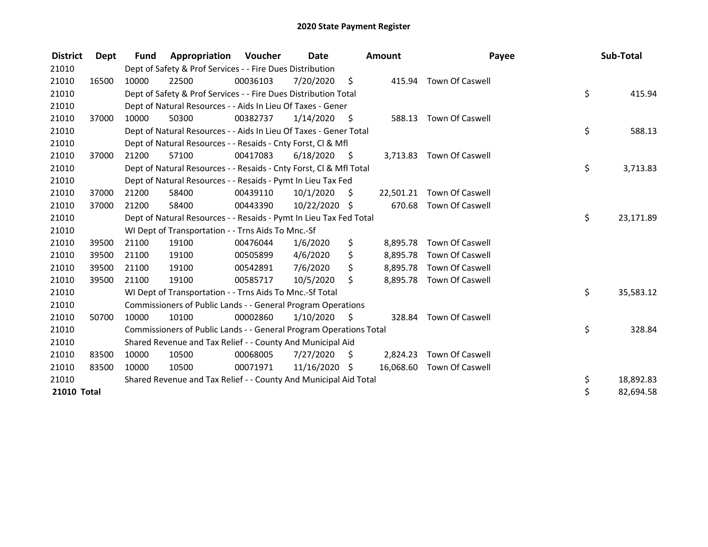| <b>District</b> | Dept  | <b>Fund</b> | Appropriation                                                      | Voucher  | <b>Date</b>     |      | <b>Amount</b> | Payee                     | Sub-Total       |
|-----------------|-------|-------------|--------------------------------------------------------------------|----------|-----------------|------|---------------|---------------------------|-----------------|
| 21010           |       |             | Dept of Safety & Prof Services - - Fire Dues Distribution          |          |                 |      |               |                           |                 |
| 21010           | 16500 | 10000       | 22500                                                              | 00036103 | 7/20/2020       | - \$ | 415.94        | Town Of Caswell           |                 |
| 21010           |       |             | Dept of Safety & Prof Services - - Fire Dues Distribution Total    |          |                 |      |               |                           | \$<br>415.94    |
| 21010           |       |             | Dept of Natural Resources - - Aids In Lieu Of Taxes - Gener        |          |                 |      |               |                           |                 |
| 21010           | 37000 | 10000       | 50300                                                              | 00382737 | 1/14/2020       | - \$ | 588.13        | Town Of Caswell           |                 |
| 21010           |       |             | Dept of Natural Resources - - Aids In Lieu Of Taxes - Gener Total  |          |                 |      |               |                           | \$<br>588.13    |
| 21010           |       |             | Dept of Natural Resources - - Resaids - Cnty Forst, CI & Mfl       |          |                 |      |               |                           |                 |
| 21010           | 37000 | 21200       | 57100                                                              | 00417083 | 6/18/2020       | - \$ |               | 3,713.83 Town Of Caswell  |                 |
| 21010           |       |             | Dept of Natural Resources - - Resaids - Cnty Forst, Cl & Mfl Total |          |                 |      |               |                           | \$<br>3,713.83  |
| 21010           |       |             | Dept of Natural Resources - - Resaids - Pymt In Lieu Tax Fed       |          |                 |      |               |                           |                 |
| 21010           | 37000 | 21200       | 58400                                                              | 00439110 | 10/1/2020       | \$   |               | 22,501.21 Town Of Caswell |                 |
| 21010           | 37000 | 21200       | 58400                                                              | 00443390 | 10/22/2020 \$   |      | 670.68        | Town Of Caswell           |                 |
| 21010           |       |             | Dept of Natural Resources - - Resaids - Pymt In Lieu Tax Fed Total |          |                 |      |               |                           | \$<br>23,171.89 |
| 21010           |       |             | WI Dept of Transportation - - Trns Aids To Mnc.-Sf                 |          |                 |      |               |                           |                 |
| 21010           | 39500 | 21100       | 19100                                                              | 00476044 | 1/6/2020        | \$   | 8,895.78      | Town Of Caswell           |                 |
| 21010           | 39500 | 21100       | 19100                                                              | 00505899 | 4/6/2020        | \$   | 8,895.78      | Town Of Caswell           |                 |
| 21010           | 39500 | 21100       | 19100                                                              | 00542891 | 7/6/2020        | \$   | 8,895.78      | <b>Town Of Caswell</b>    |                 |
| 21010           | 39500 | 21100       | 19100                                                              | 00585717 | 10/5/2020       | \$   |               | 8,895.78 Town Of Caswell  |                 |
| 21010           |       |             | WI Dept of Transportation - - Trns Aids To Mnc.-Sf Total           |          |                 |      |               |                           | \$<br>35,583.12 |
| 21010           |       |             | Commissioners of Public Lands - - General Program Operations       |          |                 |      |               |                           |                 |
| 21010           | 50700 | 10000       | 10100                                                              | 00002860 | 1/10/2020       | S.   | 328.84        | Town Of Caswell           |                 |
| 21010           |       |             | Commissioners of Public Lands - - General Program Operations Total |          |                 |      |               |                           | \$<br>328.84    |
| 21010           |       |             | Shared Revenue and Tax Relief - - County And Municipal Aid         |          |                 |      |               |                           |                 |
| 21010           | 83500 | 10000       | 10500                                                              | 00068005 | 7/27/2020       | \$   | 2,824.23      | Town Of Caswell           |                 |
| 21010           | 83500 | 10000       | 10500                                                              | 00071971 | $11/16/2020$ \$ |      |               | 16,068.60 Town Of Caswell |                 |
| 21010           |       |             | Shared Revenue and Tax Relief - - County And Municipal Aid Total   |          |                 |      |               |                           | \$<br>18,892.83 |
| 21010 Total     |       |             |                                                                    |          |                 |      |               |                           | \$<br>82,694.58 |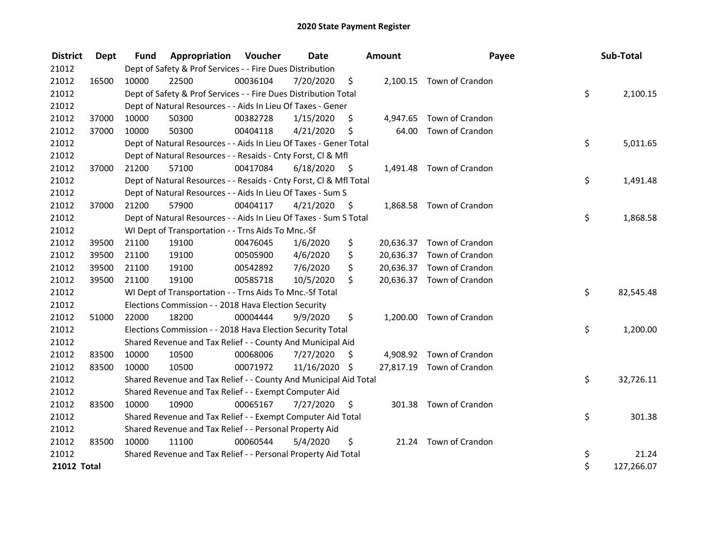| <b>District</b> | Dept  | <b>Fund</b> | Appropriation                                                      | Voucher  | Date       |      | Amount   | Payee                     | Sub-Total        |
|-----------------|-------|-------------|--------------------------------------------------------------------|----------|------------|------|----------|---------------------------|------------------|
| 21012           |       |             | Dept of Safety & Prof Services - - Fire Dues Distribution          |          |            |      |          |                           |                  |
| 21012           | 16500 | 10000       | 22500                                                              | 00036104 | 7/20/2020  | \$   |          | 2,100.15 Town of Crandon  |                  |
| 21012           |       |             | Dept of Safety & Prof Services - - Fire Dues Distribution Total    |          |            |      |          |                           | \$<br>2,100.15   |
| 21012           |       |             | Dept of Natural Resources - - Aids In Lieu Of Taxes - Gener        |          |            |      |          |                           |                  |
| 21012           | 37000 | 10000       | 50300                                                              | 00382728 | 1/15/2020  | \$.  | 4,947.65 | Town of Crandon           |                  |
| 21012           | 37000 | 10000       | 50300                                                              | 00404118 | 4/21/2020  | \$   | 64.00    | Town of Crandon           |                  |
| 21012           |       |             | Dept of Natural Resources - - Aids In Lieu Of Taxes - Gener Total  |          |            |      |          |                           | \$<br>5,011.65   |
| 21012           |       |             | Dept of Natural Resources - - Resaids - Cnty Forst, Cl & Mfl       |          |            |      |          |                           |                  |
| 21012           | 37000 | 21200       | 57100                                                              | 00417084 | 6/18/2020  | - \$ |          | 1,491.48 Town of Crandon  |                  |
| 21012           |       |             | Dept of Natural Resources - - Resaids - Cnty Forst, Cl & Mfl Total |          |            |      |          |                           | \$<br>1,491.48   |
| 21012           |       |             | Dept of Natural Resources - - Aids In Lieu Of Taxes - Sum S        |          |            |      |          |                           |                  |
| 21012           | 37000 | 21200       | 57900                                                              | 00404117 | 4/21/2020  | - \$ |          | 1,868.58 Town of Crandon  |                  |
| 21012           |       |             | Dept of Natural Resources - - Aids In Lieu Of Taxes - Sum S Total  |          |            |      |          |                           | \$<br>1,868.58   |
| 21012           |       |             | WI Dept of Transportation - - Trns Aids To Mnc.-Sf                 |          |            |      |          |                           |                  |
| 21012           | 39500 | 21100       | 19100                                                              | 00476045 | 1/6/2020   | \$   |          | 20,636.37 Town of Crandon |                  |
| 21012           | 39500 | 21100       | 19100                                                              | 00505900 | 4/6/2020   | \$   |          | 20,636.37 Town of Crandon |                  |
| 21012           | 39500 | 21100       | 19100                                                              | 00542892 | 7/6/2020   | \$   |          | 20,636.37 Town of Crandon |                  |
| 21012           | 39500 | 21100       | 19100                                                              | 00585718 | 10/5/2020  | \$   |          | 20,636.37 Town of Crandon |                  |
| 21012           |       |             | WI Dept of Transportation - - Trns Aids To Mnc.-Sf Total           |          |            |      |          |                           | \$<br>82,545.48  |
| 21012           |       |             | Elections Commission - - 2018 Hava Election Security               |          |            |      |          |                           |                  |
| 21012           | 51000 | 22000       | 18200                                                              | 00004444 | 9/9/2020   | \$   |          | 1,200.00 Town of Crandon  |                  |
| 21012           |       |             | Elections Commission - - 2018 Hava Election Security Total         |          |            |      |          |                           | \$<br>1,200.00   |
| 21012           |       |             | Shared Revenue and Tax Relief - - County And Municipal Aid         |          |            |      |          |                           |                  |
| 21012           | 83500 | 10000       | 10500                                                              | 00068006 | 7/27/2020  | S    |          | 4,908.92 Town of Crandon  |                  |
| 21012           | 83500 | 10000       | 10500                                                              | 00071972 | 11/16/2020 | \$   |          | 27,817.19 Town of Crandon |                  |
| 21012           |       |             | Shared Revenue and Tax Relief - - County And Municipal Aid Total   |          |            |      |          |                           | \$<br>32,726.11  |
| 21012           |       |             | Shared Revenue and Tax Relief - - Exempt Computer Aid              |          |            |      |          |                           |                  |
| 21012           | 83500 | 10000       | 10900                                                              | 00065167 | 7/27/2020  | \$   |          | 301.38 Town of Crandon    |                  |
| 21012           |       |             | Shared Revenue and Tax Relief - - Exempt Computer Aid Total        |          |            |      |          |                           | \$<br>301.38     |
| 21012           |       |             | Shared Revenue and Tax Relief - - Personal Property Aid            |          |            |      |          |                           |                  |
| 21012           | 83500 | 10000       | 11100                                                              | 00060544 | 5/4/2020   | \$   |          | 21.24 Town of Crandon     |                  |
| 21012           |       |             | Shared Revenue and Tax Relief - - Personal Property Aid Total      |          |            |      |          |                           | \$<br>21.24      |
| 21012 Total     |       |             |                                                                    |          |            |      |          |                           | \$<br>127,266.07 |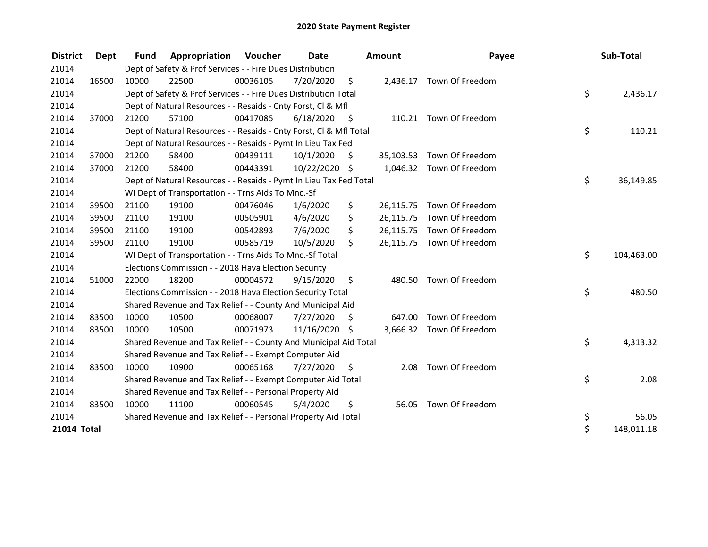| <b>District</b> | <b>Dept</b> | <b>Fund</b> | Appropriation                                                      | Voucher  | <b>Date</b>   |      | <b>Amount</b> | Payee                     | Sub-Total        |
|-----------------|-------------|-------------|--------------------------------------------------------------------|----------|---------------|------|---------------|---------------------------|------------------|
| 21014           |             |             | Dept of Safety & Prof Services - - Fire Dues Distribution          |          |               |      |               |                           |                  |
| 21014           | 16500       | 10000       | 22500                                                              | 00036105 | 7/20/2020     | \$   |               | 2,436.17 Town Of Freedom  |                  |
| 21014           |             |             | Dept of Safety & Prof Services - - Fire Dues Distribution Total    |          |               |      |               |                           | \$<br>2,436.17   |
| 21014           |             |             | Dept of Natural Resources - - Resaids - Cnty Forst, Cl & Mfl       |          |               |      |               |                           |                  |
| 21014           | 37000       | 21200       | 57100                                                              | 00417085 | 6/18/2020     | - \$ |               | 110.21 Town Of Freedom    |                  |
| 21014           |             |             | Dept of Natural Resources - - Resaids - Cnty Forst, Cl & Mfl Total |          |               |      |               |                           | \$<br>110.21     |
| 21014           |             |             | Dept of Natural Resources - - Resaids - Pymt In Lieu Tax Fed       |          |               |      |               |                           |                  |
| 21014           | 37000       | 21200       | 58400                                                              | 00439111 | 10/1/2020     | \$   |               | 35,103.53 Town Of Freedom |                  |
| 21014           | 37000       | 21200       | 58400                                                              | 00443391 | 10/22/2020 \$ |      |               | 1,046.32 Town Of Freedom  |                  |
| 21014           |             |             | Dept of Natural Resources - - Resaids - Pymt In Lieu Tax Fed Total |          |               |      |               |                           | \$<br>36,149.85  |
| 21014           |             |             | WI Dept of Transportation - - Trns Aids To Mnc.-Sf                 |          |               |      |               |                           |                  |
| 21014           | 39500       | 21100       | 19100                                                              | 00476046 | 1/6/2020      | \$   |               | 26,115.75 Town Of Freedom |                  |
| 21014           | 39500       | 21100       | 19100                                                              | 00505901 | 4/6/2020      | \$   |               | 26,115.75 Town Of Freedom |                  |
| 21014           | 39500       | 21100       | 19100                                                              | 00542893 | 7/6/2020      | \$   |               | 26,115.75 Town Of Freedom |                  |
| 21014           | 39500       | 21100       | 19100                                                              | 00585719 | 10/5/2020     | \$   |               | 26,115.75 Town Of Freedom |                  |
| 21014           |             |             | WI Dept of Transportation - - Trns Aids To Mnc.-Sf Total           |          |               |      |               |                           | \$<br>104,463.00 |
| 21014           |             |             | Elections Commission - - 2018 Hava Election Security               |          |               |      |               |                           |                  |
| 21014           | 51000       | 22000       | 18200                                                              | 00004572 | 9/15/2020     | \$   |               | 480.50 Town Of Freedom    |                  |
| 21014           |             |             | Elections Commission - - 2018 Hava Election Security Total         |          |               |      |               |                           | \$<br>480.50     |
| 21014           |             |             | Shared Revenue and Tax Relief - - County And Municipal Aid         |          |               |      |               |                           |                  |
| 21014           | 83500       | 10000       | 10500                                                              | 00068007 | 7/27/2020     | S    | 647.00        | Town Of Freedom           |                  |
| 21014           | 83500       | 10000       | 10500                                                              | 00071973 | 11/16/2020 \$ |      |               | 3,666.32 Town Of Freedom  |                  |
| 21014           |             |             | Shared Revenue and Tax Relief - - County And Municipal Aid Total   |          |               |      |               |                           | \$<br>4,313.32   |
| 21014           |             |             | Shared Revenue and Tax Relief - - Exempt Computer Aid              |          |               |      |               |                           |                  |
| 21014           | 83500       | 10000       | 10900                                                              | 00065168 | 7/27/2020     | \$   | 2.08          | Town Of Freedom           |                  |
| 21014           |             |             | Shared Revenue and Tax Relief - - Exempt Computer Aid Total        |          |               |      |               |                           | \$<br>2.08       |
| 21014           |             |             | Shared Revenue and Tax Relief - - Personal Property Aid            |          |               |      |               |                           |                  |
| 21014           | 83500       | 10000       | 11100                                                              | 00060545 | 5/4/2020      | \$   |               | 56.05 Town Of Freedom     |                  |
| 21014           |             |             | Shared Revenue and Tax Relief - - Personal Property Aid Total      |          |               |      |               |                           | \$<br>56.05      |
| 21014 Total     |             |             |                                                                    |          |               |      |               |                           | \$<br>148,011.18 |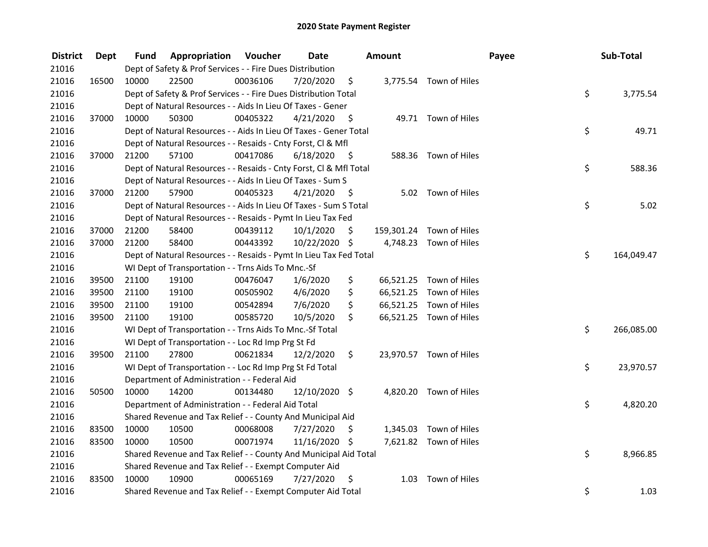| <b>District</b> | Dept  | Fund  | <b>Appropriation Voucher</b>                                       |          | <b>Date</b>   |      | Amount |                          | Payee | Sub-Total  |
|-----------------|-------|-------|--------------------------------------------------------------------|----------|---------------|------|--------|--------------------------|-------|------------|
| 21016           |       |       | Dept of Safety & Prof Services - - Fire Dues Distribution          |          |               |      |        |                          |       |            |
| 21016           | 16500 | 10000 | 22500                                                              | 00036106 | 7/20/2020     | \$   |        | 3,775.54 Town of Hiles   |       |            |
| 21016           |       |       | Dept of Safety & Prof Services - - Fire Dues Distribution Total    |          |               |      |        |                          | \$    | 3,775.54   |
| 21016           |       |       | Dept of Natural Resources - - Aids In Lieu Of Taxes - Gener        |          |               |      |        |                          |       |            |
| 21016           | 37000 | 10000 | 50300                                                              | 00405322 | 4/21/2020     | - \$ |        | 49.71 Town of Hiles      |       |            |
| 21016           |       |       | Dept of Natural Resources - - Aids In Lieu Of Taxes - Gener Total  |          |               |      |        |                          | \$    | 49.71      |
| 21016           |       |       | Dept of Natural Resources - - Resaids - Cnty Forst, Cl & Mfl       |          |               |      |        |                          |       |            |
| 21016           | 37000 | 21200 | 57100                                                              | 00417086 | 6/18/2020     | - \$ |        | 588.36 Town of Hiles     |       |            |
| 21016           |       |       | Dept of Natural Resources - - Resaids - Cnty Forst, Cl & Mfl Total |          |               |      |        |                          | \$    | 588.36     |
| 21016           |       |       | Dept of Natural Resources - - Aids In Lieu Of Taxes - Sum S        |          |               |      |        |                          |       |            |
| 21016           | 37000 | 21200 | 57900                                                              | 00405323 | 4/21/2020     | - \$ |        | 5.02 Town of Hiles       |       |            |
| 21016           |       |       | Dept of Natural Resources - - Aids In Lieu Of Taxes - Sum S Total  |          |               |      |        |                          | \$    | 5.02       |
| 21016           |       |       | Dept of Natural Resources - - Resaids - Pymt In Lieu Tax Fed       |          |               |      |        |                          |       |            |
| 21016           | 37000 | 21200 | 58400                                                              | 00439112 | 10/1/2020     | \$   |        | 159,301.24 Town of Hiles |       |            |
| 21016           | 37000 | 21200 | 58400                                                              | 00443392 | 10/22/2020 \$ |      |        | 4,748.23 Town of Hiles   |       |            |
| 21016           |       |       | Dept of Natural Resources - - Resaids - Pymt In Lieu Tax Fed Total |          |               |      |        |                          | \$    | 164,049.47 |
| 21016           |       |       | WI Dept of Transportation - - Trns Aids To Mnc.-Sf                 |          |               |      |        |                          |       |            |
| 21016           | 39500 | 21100 | 19100                                                              | 00476047 | 1/6/2020      | \$   |        | 66,521.25 Town of Hiles  |       |            |
| 21016           | 39500 | 21100 | 19100                                                              | 00505902 | 4/6/2020      | \$   |        | 66,521.25 Town of Hiles  |       |            |
| 21016           | 39500 | 21100 | 19100                                                              | 00542894 | 7/6/2020      | \$   |        | 66,521.25 Town of Hiles  |       |            |
| 21016           | 39500 | 21100 | 19100                                                              | 00585720 | 10/5/2020     | \$   |        | 66,521.25 Town of Hiles  |       |            |
| 21016           |       |       | WI Dept of Transportation - - Trns Aids To Mnc.-Sf Total           |          |               |      |        |                          | \$    | 266,085.00 |
| 21016           |       |       | WI Dept of Transportation - - Loc Rd Imp Prg St Fd                 |          |               |      |        |                          |       |            |
| 21016           | 39500 | 21100 | 27800                                                              | 00621834 | 12/2/2020     | \$   |        | 23,970.57 Town of Hiles  |       |            |
| 21016           |       |       | WI Dept of Transportation - - Loc Rd Imp Prg St Fd Total           |          |               |      |        |                          | \$    | 23,970.57  |
| 21016           |       |       | Department of Administration - - Federal Aid                       |          |               |      |        |                          |       |            |
| 21016           | 50500 | 10000 | 14200                                                              | 00134480 | 12/10/2020 \$ |      |        | 4,820.20 Town of Hiles   |       |            |
| 21016           |       |       | Department of Administration - - Federal Aid Total                 |          |               |      |        |                          | \$    | 4,820.20   |
| 21016           |       |       | Shared Revenue and Tax Relief - - County And Municipal Aid         |          |               |      |        |                          |       |            |
| 21016           | 83500 | 10000 | 10500                                                              | 00068008 | 7/27/2020     | \$   |        | 1,345.03 Town of Hiles   |       |            |
| 21016           | 83500 | 10000 | 10500                                                              | 00071974 | 11/16/2020 \$ |      |        | 7,621.82 Town of Hiles   |       |            |
| 21016           |       |       | Shared Revenue and Tax Relief - - County And Municipal Aid Total   |          |               |      |        |                          | \$    | 8,966.85   |
| 21016           |       |       | Shared Revenue and Tax Relief - - Exempt Computer Aid              |          |               |      |        |                          |       |            |
| 21016           | 83500 | 10000 | 10900                                                              | 00065169 | 7/27/2020     | \$   | 1.03   | Town of Hiles            |       |            |
| 21016           |       |       | Shared Revenue and Tax Relief - - Exempt Computer Aid Total        |          |               |      |        |                          | \$    | 1.03       |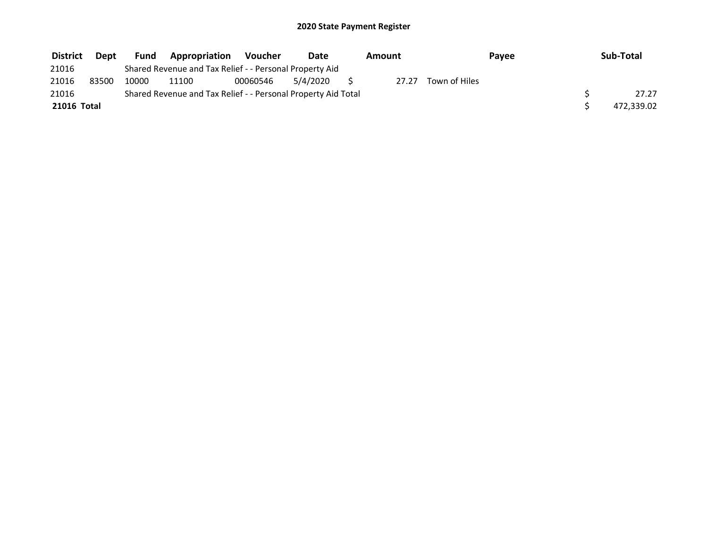| <b>District</b> | <b>Dept</b> | Fund  | <b>Appropriation</b>                                          | Voucher  | Date     | Amount |               | Payee | Sub-Total  |
|-----------------|-------------|-------|---------------------------------------------------------------|----------|----------|--------|---------------|-------|------------|
| 21016           |             |       | Shared Revenue and Tax Relief - - Personal Property Aid       |          |          |        |               |       |            |
| 21016           | 83500       | 10000 | 11100                                                         | 00060546 | 5/4/2020 | 27.27  | Town of Hiles |       |            |
| 21016           |             |       | Shared Revenue and Tax Relief - - Personal Property Aid Total |          |          |        |               |       | 27.27      |
| 21016 Total     |             |       |                                                               |          |          |        |               |       | 472,339.02 |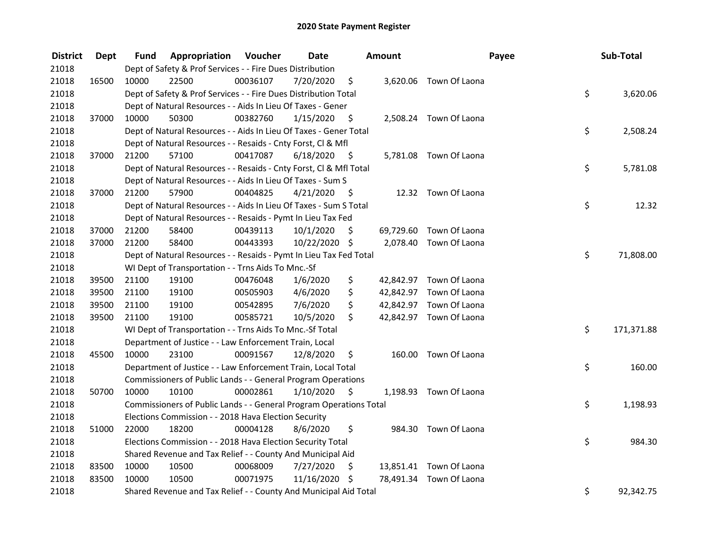| <b>District</b> | <b>Dept</b> | Fund  | Appropriation                                                      | Voucher  | <b>Date</b>   |      | Amount |                         | Payee | Sub-Total  |
|-----------------|-------------|-------|--------------------------------------------------------------------|----------|---------------|------|--------|-------------------------|-------|------------|
| 21018           |             |       | Dept of Safety & Prof Services - - Fire Dues Distribution          |          |               |      |        |                         |       |            |
| 21018           | 16500       | 10000 | 22500                                                              | 00036107 | 7/20/2020     | \$   |        | 3,620.06 Town Of Laona  |       |            |
| 21018           |             |       | Dept of Safety & Prof Services - - Fire Dues Distribution Total    |          |               |      |        |                         | \$    | 3,620.06   |
| 21018           |             |       | Dept of Natural Resources - - Aids In Lieu Of Taxes - Gener        |          |               |      |        |                         |       |            |
| 21018           | 37000       | 10000 | 50300                                                              | 00382760 | 1/15/2020     | \$   |        | 2,508.24 Town Of Laona  |       |            |
| 21018           |             |       | Dept of Natural Resources - - Aids In Lieu Of Taxes - Gener Total  |          |               |      |        |                         | \$    | 2,508.24   |
| 21018           |             |       | Dept of Natural Resources - - Resaids - Cnty Forst, Cl & Mfl       |          |               |      |        |                         |       |            |
| 21018           | 37000       | 21200 | 57100                                                              | 00417087 | 6/18/2020     | - \$ |        | 5,781.08 Town Of Laona  |       |            |
| 21018           |             |       | Dept of Natural Resources - - Resaids - Cnty Forst, Cl & Mfl Total |          |               |      |        |                         | \$    | 5,781.08   |
| 21018           |             |       | Dept of Natural Resources - - Aids In Lieu Of Taxes - Sum S        |          |               |      |        |                         |       |            |
| 21018           | 37000       | 21200 | 57900                                                              | 00404825 | 4/21/2020     | - \$ |        | 12.32 Town Of Laona     |       |            |
| 21018           |             |       | Dept of Natural Resources - - Aids In Lieu Of Taxes - Sum S Total  |          |               |      |        |                         | \$    | 12.32      |
| 21018           |             |       | Dept of Natural Resources - - Resaids - Pymt In Lieu Tax Fed       |          |               |      |        |                         |       |            |
| 21018           | 37000       | 21200 | 58400                                                              | 00439113 | 10/1/2020     | \$   |        | 69,729.60 Town Of Laona |       |            |
| 21018           | 37000       | 21200 | 58400                                                              | 00443393 | 10/22/2020 \$ |      |        | 2,078.40 Town Of Laona  |       |            |
| 21018           |             |       | Dept of Natural Resources - - Resaids - Pymt In Lieu Tax Fed Total |          |               |      |        |                         | \$    | 71,808.00  |
| 21018           |             |       | WI Dept of Transportation - - Trns Aids To Mnc.-Sf                 |          |               |      |        |                         |       |            |
| 21018           | 39500       | 21100 | 19100                                                              | 00476048 | 1/6/2020      | \$   |        | 42,842.97 Town Of Laona |       |            |
| 21018           | 39500       | 21100 | 19100                                                              | 00505903 | 4/6/2020      | \$   |        | 42,842.97 Town Of Laona |       |            |
| 21018           | 39500       | 21100 | 19100                                                              | 00542895 | 7/6/2020      | \$   |        | 42,842.97 Town Of Laona |       |            |
| 21018           | 39500       | 21100 | 19100                                                              | 00585721 | 10/5/2020     | \$   |        | 42,842.97 Town Of Laona |       |            |
| 21018           |             |       | WI Dept of Transportation - - Trns Aids To Mnc.-Sf Total           |          |               |      |        |                         | \$    | 171,371.88 |
| 21018           |             |       | Department of Justice - - Law Enforcement Train, Local             |          |               |      |        |                         |       |            |
| 21018           | 45500       | 10000 | 23100                                                              | 00091567 | 12/8/2020     | \$   |        | 160.00 Town Of Laona    |       |            |
| 21018           |             |       | Department of Justice - - Law Enforcement Train, Local Total       |          |               |      |        |                         | \$    | 160.00     |
| 21018           |             |       | Commissioners of Public Lands - - General Program Operations       |          |               |      |        |                         |       |            |
| 21018           | 50700       | 10000 | 10100                                                              | 00002861 | 1/10/2020     | \$   |        | 1,198.93 Town Of Laona  |       |            |
| 21018           |             |       | Commissioners of Public Lands - - General Program Operations Total |          |               |      |        |                         | \$    | 1,198.93   |
| 21018           |             |       | Elections Commission - - 2018 Hava Election Security               |          |               |      |        |                         |       |            |
| 21018           | 51000       | 22000 | 18200                                                              | 00004128 | 8/6/2020      | \$   |        | 984.30 Town Of Laona    |       |            |
| 21018           |             |       | Elections Commission - - 2018 Hava Election Security Total         |          |               |      |        |                         | \$    | 984.30     |
| 21018           |             |       | Shared Revenue and Tax Relief - - County And Municipal Aid         |          |               |      |        |                         |       |            |
| 21018           | 83500       | 10000 | 10500                                                              | 00068009 | 7/27/2020     | \$   |        | 13,851.41 Town Of Laona |       |            |
| 21018           | 83500       | 10000 | 10500                                                              | 00071975 | 11/16/2020    | \$   |        | 78,491.34 Town Of Laona |       |            |
| 21018           |             |       | Shared Revenue and Tax Relief - - County And Municipal Aid Total   |          |               |      |        |                         | \$    | 92,342.75  |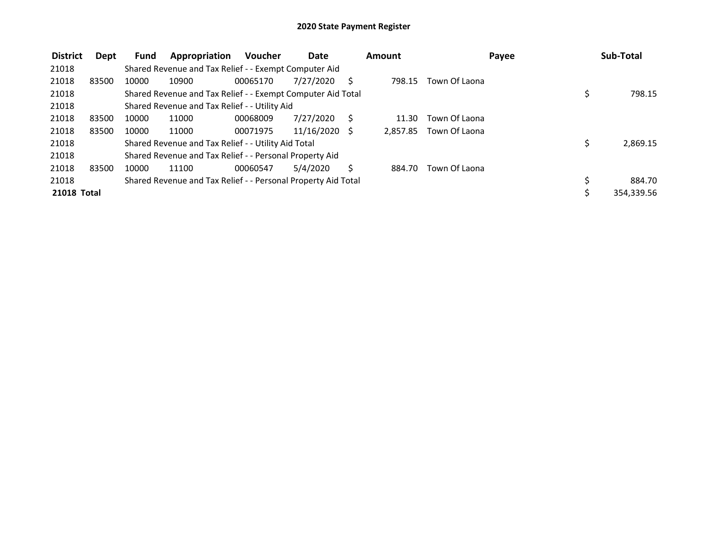| <b>District</b>    | Dept  | <b>Fund</b> | Appropriation                                                 | <b>Voucher</b> | <b>Date</b>     |   | Amount   |               | Payee | Sub-Total    |
|--------------------|-------|-------------|---------------------------------------------------------------|----------------|-----------------|---|----------|---------------|-------|--------------|
| 21018              |       |             | Shared Revenue and Tax Relief - - Exempt Computer Aid         |                |                 |   |          |               |       |              |
| 21018              | 83500 | 10000       | 10900                                                         | 00065170       | 7/27/2020       |   | 798.15   | Town Of Laona |       |              |
| 21018              |       |             | Shared Revenue and Tax Relief - - Exempt Computer Aid Total   |                |                 |   |          |               |       | \$<br>798.15 |
| 21018              |       |             | Shared Revenue and Tax Relief - - Utility Aid                 |                |                 |   |          |               |       |              |
| 21018              | 83500 | 10000       | 11000                                                         | 00068009       | 7/27/2020       | S | 11.30    | Town Of Laona |       |              |
| 21018              | 83500 | 10000       | 11000                                                         | 00071975       | $11/16/2020$ \$ |   | 2,857.85 | Town Of Laona |       |              |
| 21018              |       |             | Shared Revenue and Tax Relief - - Utility Aid Total           |                |                 |   |          |               |       | 2,869.15     |
| 21018              |       |             | Shared Revenue and Tax Relief - - Personal Property Aid       |                |                 |   |          |               |       |              |
| 21018              | 83500 | 10000       | 11100                                                         | 00060547       | 5/4/2020        |   | 884.70   | Town Of Laona |       |              |
| 21018              |       |             | Shared Revenue and Tax Relief - - Personal Property Aid Total |                |                 |   |          |               |       | \$<br>884.70 |
| <b>21018 Total</b> |       |             |                                                               |                |                 |   |          |               |       | 354,339.56   |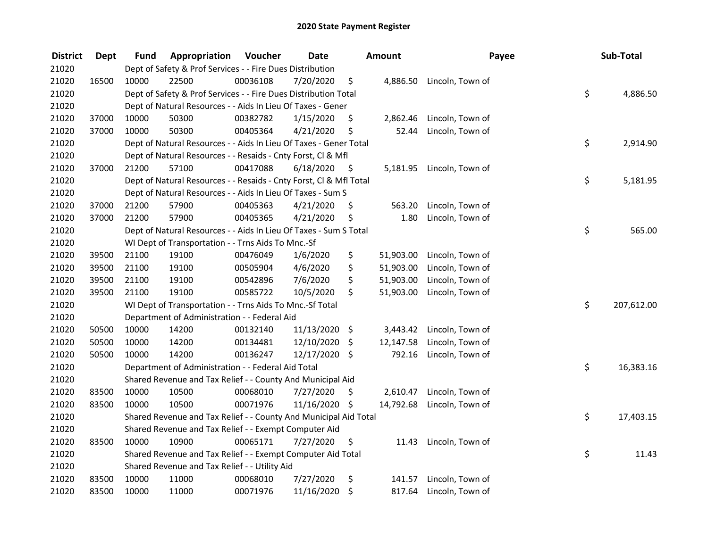| <b>District</b> | <b>Dept</b> | Fund  | Appropriation                                                      | Voucher  | <b>Date</b>   |         | <b>Amount</b> | Payee                     | Sub-Total        |
|-----------------|-------------|-------|--------------------------------------------------------------------|----------|---------------|---------|---------------|---------------------------|------------------|
| 21020           |             |       | Dept of Safety & Prof Services - - Fire Dues Distribution          |          |               |         |               |                           |                  |
| 21020           | 16500       | 10000 | 22500                                                              | 00036108 | 7/20/2020     | \$      | 4,886.50      | Lincoln, Town of          |                  |
| 21020           |             |       | Dept of Safety & Prof Services - - Fire Dues Distribution Total    |          |               |         |               |                           | \$<br>4,886.50   |
| 21020           |             |       | Dept of Natural Resources - - Aids In Lieu Of Taxes - Gener        |          |               |         |               |                           |                  |
| 21020           | 37000       | 10000 | 50300                                                              | 00382782 | 1/15/2020     | \$      | 2,862.46      | Lincoln, Town of          |                  |
| 21020           | 37000       | 10000 | 50300                                                              | 00405364 | 4/21/2020     | \$      | 52.44         | Lincoln, Town of          |                  |
| 21020           |             |       | Dept of Natural Resources - - Aids In Lieu Of Taxes - Gener Total  |          |               |         |               |                           | \$<br>2,914.90   |
| 21020           |             |       | Dept of Natural Resources - - Resaids - Cnty Forst, CI & Mfl       |          |               |         |               |                           |                  |
| 21020           | 37000       | 21200 | 57100                                                              | 00417088 | 6/18/2020     | - \$    |               | 5,181.95 Lincoln, Town of |                  |
| 21020           |             |       | Dept of Natural Resources - - Resaids - Cnty Forst, Cl & Mfl Total |          |               |         |               |                           | \$<br>5,181.95   |
| 21020           |             |       | Dept of Natural Resources - - Aids In Lieu Of Taxes - Sum S        |          |               |         |               |                           |                  |
| 21020           | 37000       | 21200 | 57900                                                              | 00405363 | 4/21/2020     | \$.     | 563.20        | Lincoln, Town of          |                  |
| 21020           | 37000       | 21200 | 57900                                                              | 00405365 | 4/21/2020     | \$      | 1.80          | Lincoln, Town of          |                  |
| 21020           |             |       | Dept of Natural Resources - - Aids In Lieu Of Taxes - Sum S Total  |          |               |         |               |                           | \$<br>565.00     |
| 21020           |             |       | WI Dept of Transportation - - Trns Aids To Mnc.-Sf                 |          |               |         |               |                           |                  |
| 21020           | 39500       | 21100 | 19100                                                              | 00476049 | 1/6/2020      | \$      | 51,903.00     | Lincoln, Town of          |                  |
| 21020           | 39500       | 21100 | 19100                                                              | 00505904 | 4/6/2020      | \$      | 51,903.00     | Lincoln, Town of          |                  |
| 21020           | 39500       | 21100 | 19100                                                              | 00542896 | 7/6/2020      | \$      | 51,903.00     | Lincoln, Town of          |                  |
| 21020           | 39500       | 21100 | 19100                                                              | 00585722 | 10/5/2020     | \$      | 51,903.00     | Lincoln, Town of          |                  |
| 21020           |             |       | WI Dept of Transportation - - Trns Aids To Mnc.-Sf Total           |          |               |         |               |                           | \$<br>207,612.00 |
| 21020           |             |       | Department of Administration - - Federal Aid                       |          |               |         |               |                           |                  |
| 21020           | 50500       | 10000 | 14200                                                              | 00132140 | 11/13/2020 \$ |         | 3,443.42      | Lincoln, Town of          |                  |
| 21020           | 50500       | 10000 | 14200                                                              | 00134481 | 12/10/2020    | \$      | 12,147.58     | Lincoln, Town of          |                  |
| 21020           | 50500       | 10000 | 14200                                                              | 00136247 | 12/17/2020 \$ |         | 792.16        | Lincoln, Town of          |                  |
| 21020           |             |       | Department of Administration - - Federal Aid Total                 |          |               |         |               |                           | \$<br>16,383.16  |
| 21020           |             |       | Shared Revenue and Tax Relief - - County And Municipal Aid         |          |               |         |               |                           |                  |
| 21020           | 83500       | 10000 | 10500                                                              | 00068010 | 7/27/2020     | \$.     | 2,610.47      | Lincoln, Town of          |                  |
| 21020           | 83500       | 10000 | 10500                                                              | 00071976 | 11/16/2020 \$ |         | 14,792.68     | Lincoln, Town of          |                  |
| 21020           |             |       | Shared Revenue and Tax Relief - - County And Municipal Aid Total   |          |               |         |               |                           | \$<br>17,403.15  |
| 21020           |             |       | Shared Revenue and Tax Relief - - Exempt Computer Aid              |          |               |         |               |                           |                  |
| 21020           | 83500       | 10000 | 10900                                                              | 00065171 | 7/27/2020     | \$      | 11.43         | Lincoln, Town of          |                  |
| 21020           |             |       | Shared Revenue and Tax Relief - - Exempt Computer Aid Total        |          |               |         |               |                           | \$<br>11.43      |
| 21020           |             |       | Shared Revenue and Tax Relief - - Utility Aid                      |          |               |         |               |                           |                  |
| 21020           | 83500       | 10000 | 11000                                                              | 00068010 | 7/27/2020     | \$      | 141.57        | Lincoln, Town of          |                  |
| 21020           | 83500       | 10000 | 11000                                                              | 00071976 | 11/16/2020    | $\zeta$ | 817.64        | Lincoln, Town of          |                  |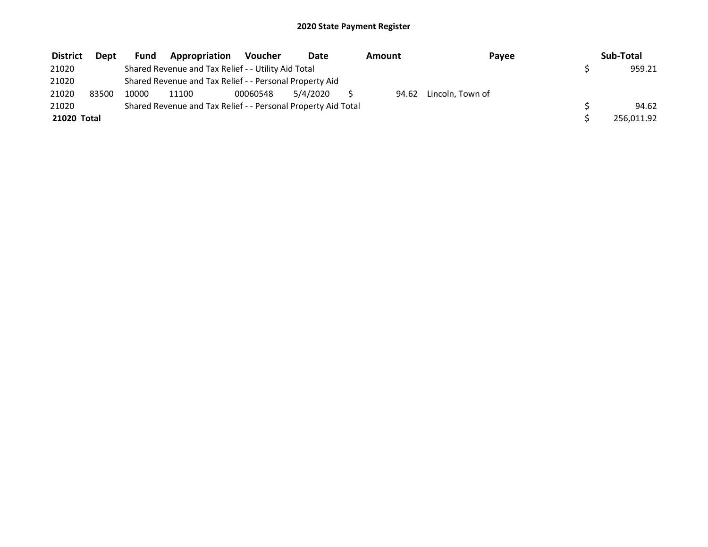| <b>District</b> | <b>Dept</b> | Fund  | Appropriation                                                 | <b>Voucher</b> | Date     | Amount | Payee                  | Sub-Total  |
|-----------------|-------------|-------|---------------------------------------------------------------|----------------|----------|--------|------------------------|------------|
| 21020           |             |       | Shared Revenue and Tax Relief - - Utility Aid Total           |                |          |        |                        | 959.21     |
| 21020           |             |       | Shared Revenue and Tax Relief - - Personal Property Aid       |                |          |        |                        |            |
| 21020           | 83500       | 10000 | 11100                                                         | 00060548       | 5/4/2020 |        | 94.62 Lincoln. Town of |            |
| 21020           |             |       | Shared Revenue and Tax Relief - - Personal Property Aid Total |                |          |        |                        | 94.62      |
| 21020 Total     |             |       |                                                               |                |          |        |                        | 256,011.92 |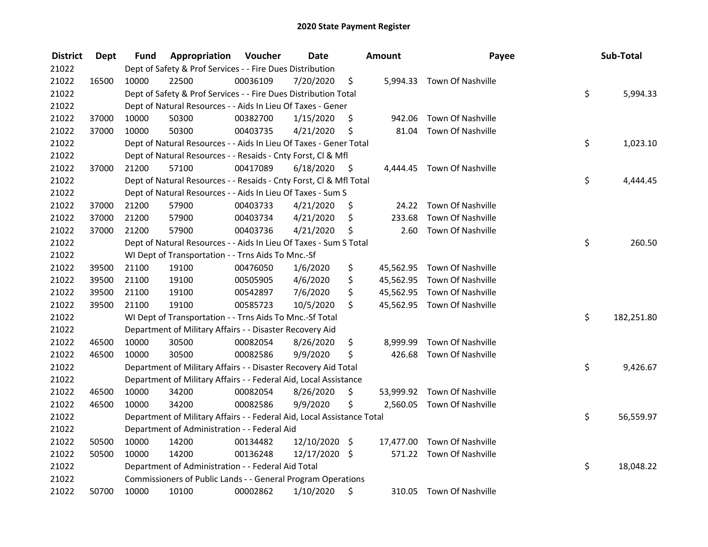| <b>District</b> | <b>Dept</b> | Fund  | Appropriation                                                          | Voucher  | <b>Date</b>   |      | Amount    | Payee                       | Sub-Total        |
|-----------------|-------------|-------|------------------------------------------------------------------------|----------|---------------|------|-----------|-----------------------------|------------------|
| 21022           |             |       | Dept of Safety & Prof Services - - Fire Dues Distribution              |          |               |      |           |                             |                  |
| 21022           | 16500       | 10000 | 22500                                                                  | 00036109 | 7/20/2020     | \$   |           | 5,994.33 Town Of Nashville  |                  |
| 21022           |             |       | Dept of Safety & Prof Services - - Fire Dues Distribution Total        |          |               |      |           |                             | \$<br>5,994.33   |
| 21022           |             |       | Dept of Natural Resources - - Aids In Lieu Of Taxes - Gener            |          |               |      |           |                             |                  |
| 21022           | 37000       | 10000 | 50300                                                                  | 00382700 | 1/15/2020     | \$   | 942.06    | Town Of Nashville           |                  |
| 21022           | 37000       | 10000 | 50300                                                                  | 00403735 | 4/21/2020     | \$   | 81.04     | Town Of Nashville           |                  |
| 21022           |             |       | Dept of Natural Resources - - Aids In Lieu Of Taxes - Gener Total      |          |               |      |           |                             | \$<br>1,023.10   |
| 21022           |             |       | Dept of Natural Resources - - Resaids - Cnty Forst, Cl & Mfl           |          |               |      |           |                             |                  |
| 21022           | 37000       | 21200 | 57100                                                                  | 00417089 | 6/18/2020     | - \$ |           | 4,444.45 Town Of Nashville  |                  |
| 21022           |             |       | Dept of Natural Resources - - Resaids - Cnty Forst, CI & Mfl Total     |          |               |      |           |                             | \$<br>4,444.45   |
| 21022           |             |       | Dept of Natural Resources - - Aids In Lieu Of Taxes - Sum S            |          |               |      |           |                             |                  |
| 21022           | 37000       | 21200 | 57900                                                                  | 00403733 | 4/21/2020     | \$.  | 24.22     | Town Of Nashville           |                  |
| 21022           | 37000       | 21200 | 57900                                                                  | 00403734 | 4/21/2020     | \$   | 233.68    | Town Of Nashville           |                  |
| 21022           | 37000       | 21200 | 57900                                                                  | 00403736 | 4/21/2020     | \$   | 2.60      | Town Of Nashville           |                  |
| 21022           |             |       | Dept of Natural Resources - - Aids In Lieu Of Taxes - Sum S Total      |          |               |      |           |                             | \$<br>260.50     |
| 21022           |             |       | WI Dept of Transportation - - Trns Aids To Mnc.-Sf                     |          |               |      |           |                             |                  |
| 21022           | 39500       | 21100 | 19100                                                                  | 00476050 | 1/6/2020      | \$   | 45,562.95 | Town Of Nashville           |                  |
| 21022           | 39500       | 21100 | 19100                                                                  | 00505905 | 4/6/2020      | \$   |           | 45,562.95 Town Of Nashville |                  |
| 21022           | 39500       | 21100 | 19100                                                                  | 00542897 | 7/6/2020      | \$   |           | 45,562.95 Town Of Nashville |                  |
| 21022           | 39500       | 21100 | 19100                                                                  | 00585723 | 10/5/2020     | \$   |           | 45,562.95 Town Of Nashville |                  |
| 21022           |             |       | WI Dept of Transportation - - Trns Aids To Mnc.-Sf Total               |          |               |      |           |                             | \$<br>182,251.80 |
| 21022           |             |       | Department of Military Affairs - - Disaster Recovery Aid               |          |               |      |           |                             |                  |
| 21022           | 46500       | 10000 | 30500                                                                  | 00082054 | 8/26/2020     | \$   | 8,999.99  | Town Of Nashville           |                  |
| 21022           | 46500       | 10000 | 30500                                                                  | 00082586 | 9/9/2020      | \$   | 426.68    | Town Of Nashville           |                  |
| 21022           |             |       | Department of Military Affairs - - Disaster Recovery Aid Total         |          |               |      |           |                             | \$<br>9,426.67   |
| 21022           |             |       | Department of Military Affairs - - Federal Aid, Local Assistance       |          |               |      |           |                             |                  |
| 21022           | 46500       | 10000 | 34200                                                                  | 00082054 | 8/26/2020     | \$   |           | 53,999.92 Town Of Nashville |                  |
| 21022           | 46500       | 10000 | 34200                                                                  | 00082586 | 9/9/2020      | \$   |           | 2,560.05 Town Of Nashville  |                  |
| 21022           |             |       | Department of Military Affairs - - Federal Aid, Local Assistance Total |          |               |      |           |                             | \$<br>56,559.97  |
| 21022           |             |       | Department of Administration - - Federal Aid                           |          |               |      |           |                             |                  |
| 21022           | 50500       | 10000 | 14200                                                                  | 00134482 | 12/10/2020 \$ |      |           | 17,477.00 Town Of Nashville |                  |
| 21022           | 50500       | 10000 | 14200                                                                  | 00136248 | 12/17/2020 \$ |      |           | 571.22 Town Of Nashville    |                  |
| 21022           |             |       | Department of Administration - - Federal Aid Total                     |          |               |      |           |                             | \$<br>18,048.22  |
| 21022           |             |       | Commissioners of Public Lands - - General Program Operations           |          |               |      |           |                             |                  |
| 21022           | 50700       | 10000 | 10100                                                                  | 00002862 | 1/10/2020     | \$   | 310.05    | Town Of Nashville           |                  |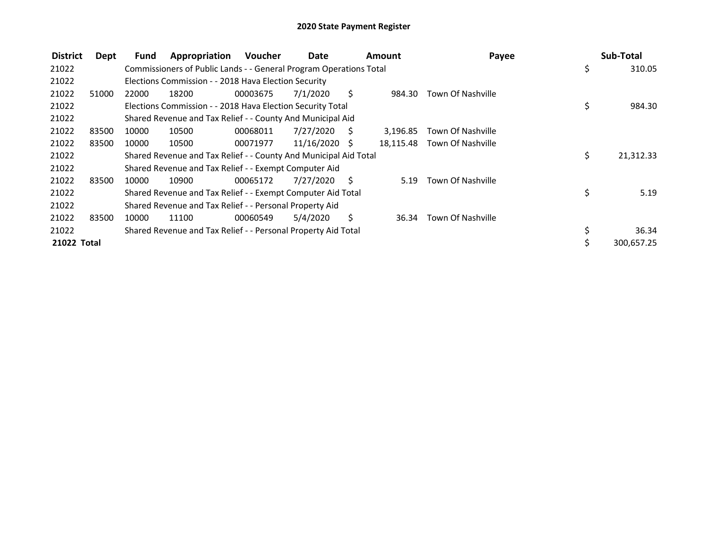| <b>District</b> | Dept  | Fund  | Appropriation                                                      | <b>Voucher</b> | Date            |     | Amount    | Payee                    | Sub-Total       |
|-----------------|-------|-------|--------------------------------------------------------------------|----------------|-----------------|-----|-----------|--------------------------|-----------------|
| 21022           |       |       | Commissioners of Public Lands - - General Program Operations Total |                |                 |     |           |                          | \$<br>310.05    |
| 21022           |       |       | Elections Commission - - 2018 Hava Election Security               |                |                 |     |           |                          |                 |
| 21022           | 51000 | 22000 | 18200                                                              | 00003675       | 7/1/2020        | S.  | 984.30    | <b>Town Of Nashville</b> |                 |
| 21022           |       |       | Elections Commission - - 2018 Hava Election Security Total         |                |                 |     |           |                          | \$<br>984.30    |
| 21022           |       |       | Shared Revenue and Tax Relief - - County And Municipal Aid         |                |                 |     |           |                          |                 |
| 21022           | 83500 | 10000 | 10500                                                              | 00068011       | 7/27/2020       | S   | 3,196.85  | Town Of Nashville        |                 |
| 21022           | 83500 | 10000 | 10500                                                              | 00071977       | $11/16/2020$ \$ |     | 18,115.48 | Town Of Nashville        |                 |
| 21022           |       |       | Shared Revenue and Tax Relief - - County And Municipal Aid Total   |                |                 |     |           |                          | \$<br>21,312.33 |
| 21022           |       |       | Shared Revenue and Tax Relief - - Exempt Computer Aid              |                |                 |     |           |                          |                 |
| 21022           | 83500 | 10000 | 10900                                                              | 00065172       | 7/27/2020       | - S | 5.19      | <b>Town Of Nashville</b> |                 |
| 21022           |       |       | Shared Revenue and Tax Relief - - Exempt Computer Aid Total        |                |                 |     |           |                          | \$<br>5.19      |
| 21022           |       |       | Shared Revenue and Tax Relief - - Personal Property Aid            |                |                 |     |           |                          |                 |
| 21022           | 83500 | 10000 | 11100                                                              | 00060549       | 5/4/2020        | S   | 36.34     | Town Of Nashville        |                 |
| 21022           |       |       | Shared Revenue and Tax Relief - - Personal Property Aid Total      |                |                 |     |           |                          | \$<br>36.34     |
| 21022 Total     |       |       |                                                                    |                |                 |     |           |                          | 300.657.25      |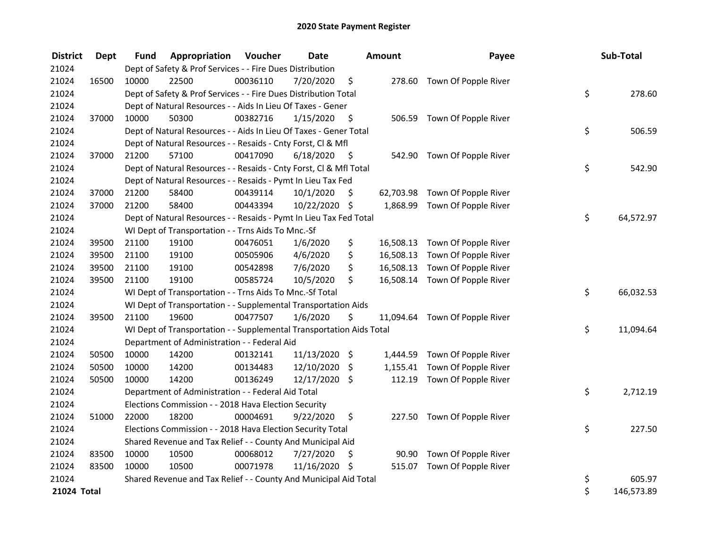| <b>District</b> | <b>Dept</b> | Fund  | Appropriation                                                        | Voucher  | <b>Date</b>   |                    | <b>Amount</b> | Payee                          | Sub-Total        |
|-----------------|-------------|-------|----------------------------------------------------------------------|----------|---------------|--------------------|---------------|--------------------------------|------------------|
| 21024           |             |       | Dept of Safety & Prof Services - - Fire Dues Distribution            |          |               |                    |               |                                |                  |
| 21024           | 16500       | 10000 | 22500                                                                | 00036110 | 7/20/2020     | \$                 |               | 278.60 Town Of Popple River    |                  |
| 21024           |             |       | Dept of Safety & Prof Services - - Fire Dues Distribution Total      |          |               |                    |               |                                | \$<br>278.60     |
| 21024           |             |       | Dept of Natural Resources - - Aids In Lieu Of Taxes - Gener          |          |               |                    |               |                                |                  |
| 21024           | 37000       | 10000 | 50300                                                                | 00382716 | 1/15/2020     | $\ddot{\varsigma}$ |               | 506.59 Town Of Popple River    |                  |
| 21024           |             |       | Dept of Natural Resources - - Aids In Lieu Of Taxes - Gener Total    |          |               |                    |               |                                | \$<br>506.59     |
| 21024           |             |       | Dept of Natural Resources - - Resaids - Cnty Forst, Cl & Mfl         |          |               |                    |               |                                |                  |
| 21024           | 37000       | 21200 | 57100                                                                | 00417090 | 6/18/2020     | - \$               |               | 542.90 Town Of Popple River    |                  |
| 21024           |             |       | Dept of Natural Resources - - Resaids - Cnty Forst, Cl & Mfl Total   |          |               |                    |               |                                | \$<br>542.90     |
| 21024           |             |       | Dept of Natural Resources - - Resaids - Pymt In Lieu Tax Fed         |          |               |                    |               |                                |                  |
| 21024           | 37000       | 21200 | 58400                                                                | 00439114 | 10/1/2020     | \$                 |               | 62,703.98 Town Of Popple River |                  |
| 21024           | 37000       | 21200 | 58400                                                                | 00443394 | 10/22/2020 \$ |                    |               | 1,868.99 Town Of Popple River  |                  |
| 21024           |             |       | Dept of Natural Resources - - Resaids - Pymt In Lieu Tax Fed Total   |          |               |                    |               |                                | \$<br>64,572.97  |
| 21024           |             |       | WI Dept of Transportation - - Trns Aids To Mnc.-Sf                   |          |               |                    |               |                                |                  |
| 21024           | 39500       | 21100 | 19100                                                                | 00476051 | 1/6/2020      | \$                 |               | 16,508.13 Town Of Popple River |                  |
| 21024           | 39500       | 21100 | 19100                                                                | 00505906 | 4/6/2020      | \$                 |               | 16,508.13 Town Of Popple River |                  |
| 21024           | 39500       | 21100 | 19100                                                                | 00542898 | 7/6/2020      | \$                 |               | 16,508.13 Town Of Popple River |                  |
| 21024           | 39500       | 21100 | 19100                                                                | 00585724 | 10/5/2020     | \$                 |               | 16,508.14 Town Of Popple River |                  |
| 21024           |             |       | WI Dept of Transportation - - Trns Aids To Mnc.-Sf Total             |          |               |                    |               |                                | \$<br>66,032.53  |
| 21024           |             |       | WI Dept of Transportation - - Supplemental Transportation Aids       |          |               |                    |               |                                |                  |
| 21024           | 39500       | 21100 | 19600                                                                | 00477507 | 1/6/2020      | \$                 |               | 11,094.64 Town Of Popple River |                  |
| 21024           |             |       | WI Dept of Transportation - - Supplemental Transportation Aids Total |          |               |                    |               |                                | \$<br>11,094.64  |
| 21024           |             |       | Department of Administration - - Federal Aid                         |          |               |                    |               |                                |                  |
| 21024           | 50500       | 10000 | 14200                                                                | 00132141 | 11/13/2020 \$ |                    |               | 1,444.59 Town Of Popple River  |                  |
| 21024           | 50500       | 10000 | 14200                                                                | 00134483 | 12/10/2020 \$ |                    |               | 1,155.41 Town Of Popple River  |                  |
| 21024           | 50500       | 10000 | 14200                                                                | 00136249 | 12/17/2020 \$ |                    |               | 112.19 Town Of Popple River    |                  |
| 21024           |             |       | Department of Administration - - Federal Aid Total                   |          |               |                    |               |                                | \$<br>2,712.19   |
| 21024           |             |       | Elections Commission - - 2018 Hava Election Security                 |          |               |                    |               |                                |                  |
| 21024           | 51000       | 22000 | 18200                                                                | 00004691 | 9/22/2020     | \$                 |               | 227.50 Town Of Popple River    |                  |
| 21024           |             |       | Elections Commission - - 2018 Hava Election Security Total           |          |               |                    |               |                                | \$<br>227.50     |
| 21024           |             |       | Shared Revenue and Tax Relief - - County And Municipal Aid           |          |               |                    |               |                                |                  |
| 21024           | 83500       | 10000 | 10500                                                                | 00068012 | 7/27/2020     | \$                 |               | 90.90 Town Of Popple River     |                  |
| 21024           | 83500       | 10000 | 10500                                                                | 00071978 | 11/16/2020 \$ |                    |               | 515.07 Town Of Popple River    |                  |
| 21024           |             |       | Shared Revenue and Tax Relief - - County And Municipal Aid Total     |          |               |                    |               |                                | \$<br>605.97     |
| 21024 Total     |             |       |                                                                      |          |               |                    |               |                                | \$<br>146,573.89 |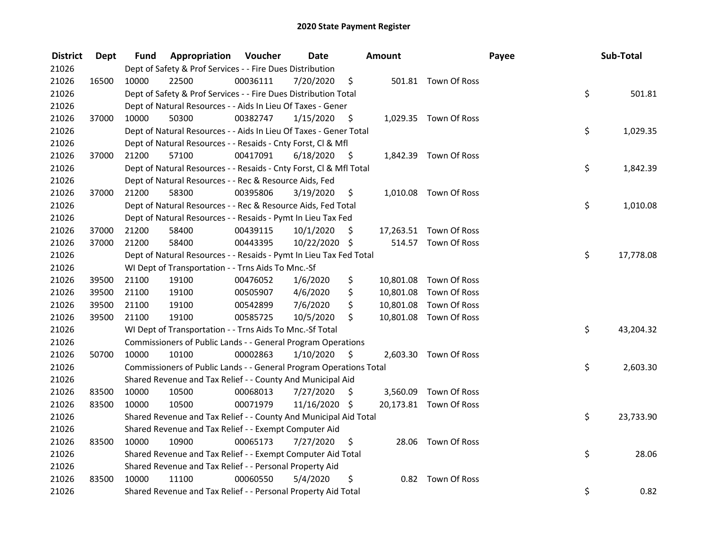| <b>District</b> | Dept  | Fund  | <b>Appropriation Voucher</b>                                       |          | <b>Date</b>   |      | Amount |                        | Payee | Sub-Total       |        |
|-----------------|-------|-------|--------------------------------------------------------------------|----------|---------------|------|--------|------------------------|-------|-----------------|--------|
| 21026           |       |       | Dept of Safety & Prof Services - - Fire Dues Distribution          |          |               |      |        |                        |       |                 |        |
| 21026           | 16500 | 10000 | 22500                                                              | 00036111 | 7/20/2020     | \$   |        | 501.81 Town Of Ross    |       |                 |        |
| 21026           |       |       | Dept of Safety & Prof Services - - Fire Dues Distribution Total    |          |               |      |        |                        |       | \$              | 501.81 |
| 21026           |       |       | Dept of Natural Resources - - Aids In Lieu Of Taxes - Gener        |          |               |      |        |                        |       |                 |        |
| 21026           | 37000 | 10000 | 50300                                                              | 00382747 | 1/15/2020     | \$   |        | 1,029.35 Town Of Ross  |       |                 |        |
| 21026           |       |       | Dept of Natural Resources - - Aids In Lieu Of Taxes - Gener Total  |          |               |      |        |                        |       | \$<br>1,029.35  |        |
| 21026           |       |       | Dept of Natural Resources - - Resaids - Cnty Forst, Cl & Mfl       |          |               |      |        |                        |       |                 |        |
| 21026           | 37000 | 21200 | 57100                                                              | 00417091 | 6/18/2020     | - \$ |        | 1,842.39 Town Of Ross  |       |                 |        |
| 21026           |       |       | Dept of Natural Resources - - Resaids - Cnty Forst, Cl & Mfl Total |          |               |      |        |                        |       | \$<br>1,842.39  |        |
| 21026           |       |       | Dept of Natural Resources - - Rec & Resource Aids, Fed             |          |               |      |        |                        |       |                 |        |
| 21026           | 37000 | 21200 | 58300                                                              | 00395806 | 3/19/2020     | \$.  |        | 1,010.08 Town Of Ross  |       |                 |        |
| 21026           |       |       | Dept of Natural Resources - - Rec & Resource Aids, Fed Total       |          |               |      |        |                        |       | \$<br>1,010.08  |        |
| 21026           |       |       | Dept of Natural Resources - - Resaids - Pymt In Lieu Tax Fed       |          |               |      |        |                        |       |                 |        |
| 21026           | 37000 | 21200 | 58400                                                              | 00439115 | 10/1/2020     | \$.  |        | 17,263.51 Town Of Ross |       |                 |        |
| 21026           | 37000 | 21200 | 58400                                                              | 00443395 | 10/22/2020 \$ |      |        | 514.57 Town Of Ross    |       |                 |        |
| 21026           |       |       | Dept of Natural Resources - - Resaids - Pymt In Lieu Tax Fed Total |          |               |      |        |                        |       | \$<br>17,778.08 |        |
| 21026           |       |       | WI Dept of Transportation - - Trns Aids To Mnc.-Sf                 |          |               |      |        |                        |       |                 |        |
| 21026           | 39500 | 21100 | 19100                                                              | 00476052 | 1/6/2020      | \$   |        | 10,801.08 Town Of Ross |       |                 |        |
| 21026           | 39500 | 21100 | 19100                                                              | 00505907 | 4/6/2020      | \$   |        | 10,801.08 Town Of Ross |       |                 |        |
| 21026           | 39500 | 21100 | 19100                                                              | 00542899 | 7/6/2020      | \$   |        | 10,801.08 Town Of Ross |       |                 |        |
| 21026           | 39500 | 21100 | 19100                                                              | 00585725 | 10/5/2020     | \$   |        | 10,801.08 Town Of Ross |       |                 |        |
| 21026           |       |       | WI Dept of Transportation - - Trns Aids To Mnc.-Sf Total           |          |               |      |        |                        |       | \$<br>43,204.32 |        |
| 21026           |       |       | Commissioners of Public Lands - - General Program Operations       |          |               |      |        |                        |       |                 |        |
| 21026           | 50700 | 10000 | 10100                                                              | 00002863 | 1/10/2020     | \$   |        | 2,603.30 Town Of Ross  |       |                 |        |
| 21026           |       |       | Commissioners of Public Lands - - General Program Operations Total |          |               |      |        |                        |       | \$<br>2,603.30  |        |
| 21026           |       |       | Shared Revenue and Tax Relief - - County And Municipal Aid         |          |               |      |        |                        |       |                 |        |
| 21026           | 83500 | 10000 | 10500                                                              | 00068013 | 7/27/2020     | Ŝ.   |        | 3,560.09 Town Of Ross  |       |                 |        |
| 21026           | 83500 | 10000 | 10500                                                              | 00071979 | 11/16/2020 \$ |      |        | 20,173.81 Town Of Ross |       |                 |        |
| 21026           |       |       | Shared Revenue and Tax Relief - - County And Municipal Aid Total   |          |               |      |        |                        |       | \$<br>23,733.90 |        |
| 21026           |       |       | Shared Revenue and Tax Relief - - Exempt Computer Aid              |          |               |      |        |                        |       |                 |        |
| 21026           | 83500 | 10000 | 10900                                                              | 00065173 | 7/27/2020     | \$   |        | 28.06 Town Of Ross     |       |                 |        |
| 21026           |       |       | Shared Revenue and Tax Relief - - Exempt Computer Aid Total        |          |               |      |        |                        |       | \$              | 28.06  |
| 21026           |       |       | Shared Revenue and Tax Relief - - Personal Property Aid            |          |               |      |        |                        |       |                 |        |
| 21026           | 83500 | 10000 | 11100                                                              | 00060550 | 5/4/2020      | \$   |        | 0.82 Town Of Ross      |       |                 |        |
| 21026           |       |       | Shared Revenue and Tax Relief - - Personal Property Aid Total      |          |               |      |        |                        |       | \$              | 0.82   |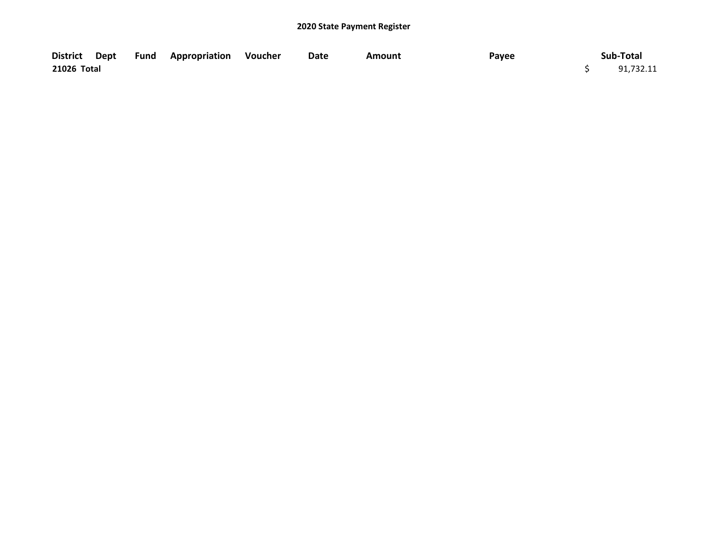|             |  | District Dept Fund Appropriation Voucher | Date | Amount | Payee | Sub-Total |
|-------------|--|------------------------------------------|------|--------|-------|-----------|
| 21026 Total |  |                                          |      |        |       | 91,732.11 |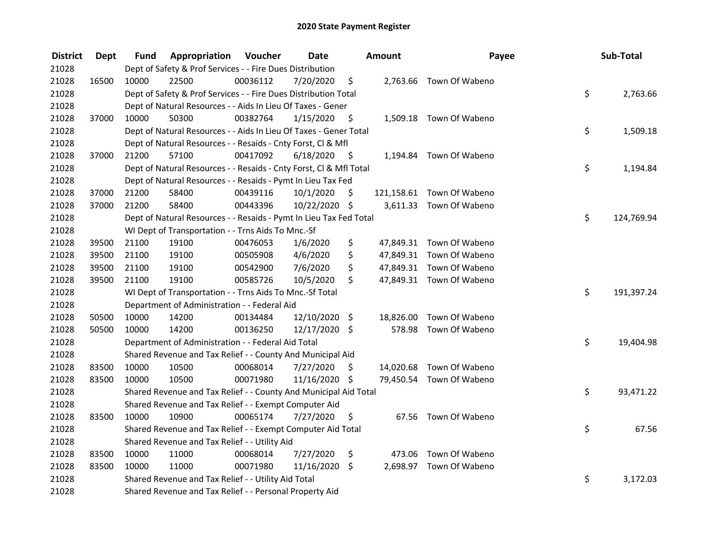| <b>District</b> | Dept  | Fund  | <b>Appropriation Voucher</b>                                       |          | <b>Date</b>   |      | Amount | Payee                     | Sub-Total        |
|-----------------|-------|-------|--------------------------------------------------------------------|----------|---------------|------|--------|---------------------------|------------------|
| 21028           |       |       | Dept of Safety & Prof Services - - Fire Dues Distribution          |          |               |      |        |                           |                  |
| 21028           | 16500 | 10000 | 22500                                                              | 00036112 | 7/20/2020     | \$   |        | 2,763.66 Town Of Wabeno   |                  |
| 21028           |       |       | Dept of Safety & Prof Services - - Fire Dues Distribution Total    |          |               |      |        |                           | \$<br>2,763.66   |
| 21028           |       |       | Dept of Natural Resources - - Aids In Lieu Of Taxes - Gener        |          |               |      |        |                           |                  |
| 21028           | 37000 | 10000 | 50300                                                              | 00382764 | 1/15/2020     | - \$ |        | 1,509.18 Town Of Wabeno   |                  |
| 21028           |       |       | Dept of Natural Resources - - Aids In Lieu Of Taxes - Gener Total  |          |               |      |        |                           | \$<br>1,509.18   |
| 21028           |       |       | Dept of Natural Resources - - Resaids - Cnty Forst, Cl & Mfl       |          |               |      |        |                           |                  |
| 21028           | 37000 | 21200 | 57100                                                              | 00417092 | 6/18/2020     | - \$ |        | 1,194.84 Town Of Wabeno   |                  |
| 21028           |       |       | Dept of Natural Resources - - Resaids - Cnty Forst, Cl & Mfl Total |          |               |      |        |                           | \$<br>1,194.84   |
| 21028           |       |       | Dept of Natural Resources - - Resaids - Pymt In Lieu Tax Fed       |          |               |      |        |                           |                  |
| 21028           | 37000 | 21200 | 58400                                                              | 00439116 | 10/1/2020     | \$   |        | 121,158.61 Town Of Wabeno |                  |
| 21028           | 37000 | 21200 | 58400                                                              | 00443396 | 10/22/2020 \$ |      |        | 3,611.33 Town Of Wabeno   |                  |
| 21028           |       |       | Dept of Natural Resources - - Resaids - Pymt In Lieu Tax Fed Total |          |               |      |        |                           | \$<br>124,769.94 |
| 21028           |       |       | WI Dept of Transportation - - Trns Aids To Mnc.-Sf                 |          |               |      |        |                           |                  |
| 21028           | 39500 | 21100 | 19100                                                              | 00476053 | 1/6/2020      | \$   |        | 47,849.31 Town Of Wabeno  |                  |
| 21028           | 39500 | 21100 | 19100                                                              | 00505908 | 4/6/2020      | \$   |        | 47,849.31 Town Of Wabeno  |                  |
| 21028           | 39500 | 21100 | 19100                                                              | 00542900 | 7/6/2020      | \$   |        | 47,849.31 Town Of Wabeno  |                  |
| 21028           | 39500 | 21100 | 19100                                                              | 00585726 | 10/5/2020     | \$   |        | 47,849.31 Town Of Wabeno  |                  |
| 21028           |       |       | WI Dept of Transportation - - Trns Aids To Mnc.-Sf Total           |          |               |      |        |                           | \$<br>191,397.24 |
| 21028           |       |       | Department of Administration - - Federal Aid                       |          |               |      |        |                           |                  |
| 21028           | 50500 | 10000 | 14200                                                              | 00134484 | 12/10/2020 \$ |      |        | 18,826.00 Town Of Wabeno  |                  |
| 21028           | 50500 | 10000 | 14200                                                              | 00136250 | 12/17/2020 \$ |      |        | 578.98 Town Of Wabeno     |                  |
| 21028           |       |       | Department of Administration - - Federal Aid Total                 |          |               |      |        |                           | \$<br>19,404.98  |
| 21028           |       |       | Shared Revenue and Tax Relief - - County And Municipal Aid         |          |               |      |        |                           |                  |
| 21028           | 83500 | 10000 | 10500                                                              | 00068014 | 7/27/2020     | \$.  |        | 14,020.68 Town Of Wabeno  |                  |
| 21028           | 83500 | 10000 | 10500                                                              | 00071980 | 11/16/2020 \$ |      |        | 79,450.54 Town Of Wabeno  |                  |
| 21028           |       |       | Shared Revenue and Tax Relief - - County And Municipal Aid Total   |          |               |      |        |                           | \$<br>93,471.22  |
| 21028           |       |       | Shared Revenue and Tax Relief - - Exempt Computer Aid              |          |               |      |        |                           |                  |
| 21028           | 83500 | 10000 | 10900                                                              | 00065174 | 7/27/2020     | \$   |        | 67.56 Town Of Wabeno      |                  |
| 21028           |       |       | Shared Revenue and Tax Relief - - Exempt Computer Aid Total        |          |               |      |        |                           | \$<br>67.56      |
| 21028           |       |       | Shared Revenue and Tax Relief - - Utility Aid                      |          |               |      |        |                           |                  |
| 21028           | 83500 | 10000 | 11000                                                              | 00068014 | 7/27/2020     | \$   |        | 473.06 Town Of Wabeno     |                  |
| 21028           | 83500 | 10000 | 11000                                                              | 00071980 | 11/16/2020 \$ |      |        | 2,698.97 Town Of Wabeno   |                  |
| 21028           |       |       | Shared Revenue and Tax Relief - - Utility Aid Total                |          |               |      |        |                           | \$<br>3,172.03   |
| 21028           |       |       | Shared Revenue and Tax Relief - - Personal Property Aid            |          |               |      |        |                           |                  |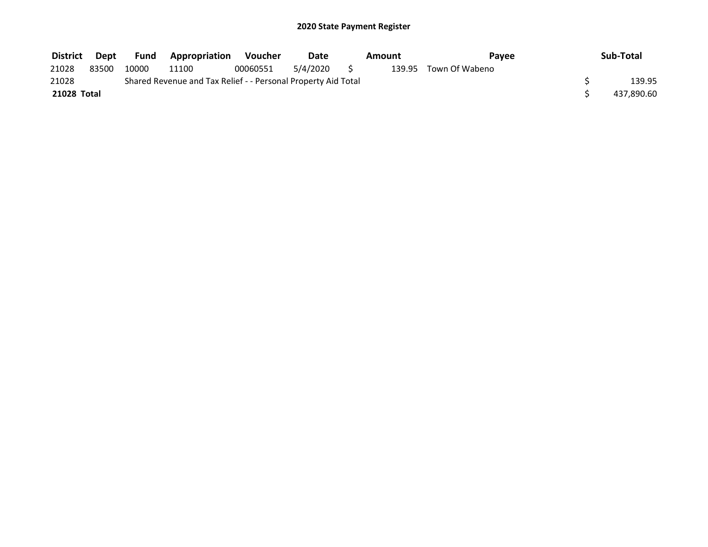| <b>District</b> | Dept  | <b>Fund</b> | <b>Appropriation</b>                                          | Voucher  | Date     | Pavee<br>Amount |  | Sub-Total             |            |
|-----------------|-------|-------------|---------------------------------------------------------------|----------|----------|-----------------|--|-----------------------|------------|
| 21028           | 83500 | 10000       | 11100                                                         | 00060551 | 5/4/2020 |                 |  | 139.95 Town Of Wabeno |            |
| 21028           |       |             | Shared Revenue and Tax Relief - - Personal Property Aid Total |          |          |                 |  |                       | 139.95     |
| 21028 Total     |       |             |                                                               |          |          |                 |  |                       | 437,890.60 |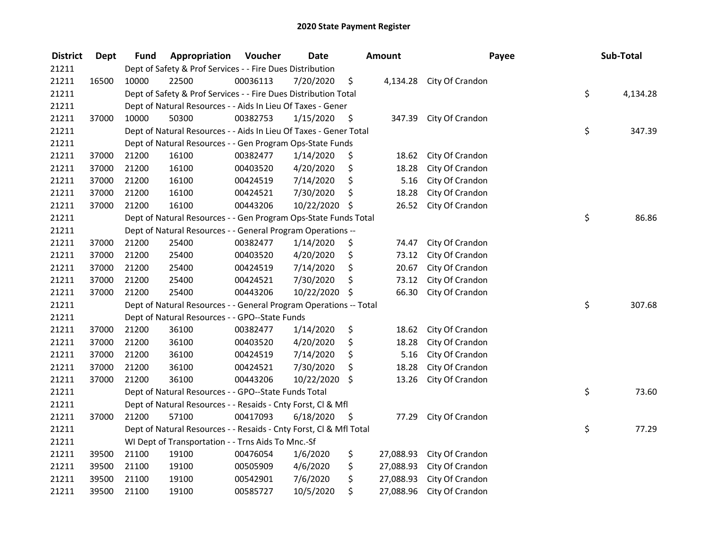| <b>District</b> | <b>Dept</b> | Fund  | Appropriation                                                      | Voucher  | <b>Date</b> |      | <b>Amount</b> | Payee                    | Sub-Total      |
|-----------------|-------------|-------|--------------------------------------------------------------------|----------|-------------|------|---------------|--------------------------|----------------|
| 21211           |             |       | Dept of Safety & Prof Services - - Fire Dues Distribution          |          |             |      |               |                          |                |
| 21211           | 16500       | 10000 | 22500                                                              | 00036113 | 7/20/2020   | \$   |               | 4,134.28 City Of Crandon |                |
| 21211           |             |       | Dept of Safety & Prof Services - - Fire Dues Distribution Total    |          |             |      |               |                          | \$<br>4,134.28 |
| 21211           |             |       | Dept of Natural Resources - - Aids In Lieu Of Taxes - Gener        |          |             |      |               |                          |                |
| 21211           | 37000       | 10000 | 50300                                                              | 00382753 | 1/15/2020   | \$   | 347.39        | City Of Crandon          |                |
| 21211           |             |       | Dept of Natural Resources - - Aids In Lieu Of Taxes - Gener Total  |          |             |      |               |                          | \$<br>347.39   |
| 21211           |             |       | Dept of Natural Resources - - Gen Program Ops-State Funds          |          |             |      |               |                          |                |
| 21211           | 37000       | 21200 | 16100                                                              | 00382477 | 1/14/2020   | \$   | 18.62         | City Of Crandon          |                |
| 21211           | 37000       | 21200 | 16100                                                              | 00403520 | 4/20/2020   | \$   | 18.28         | City Of Crandon          |                |
| 21211           | 37000       | 21200 | 16100                                                              | 00424519 | 7/14/2020   | \$   | 5.16          | City Of Crandon          |                |
| 21211           | 37000       | 21200 | 16100                                                              | 00424521 | 7/30/2020   | \$   | 18.28         | City Of Crandon          |                |
| 21211           | 37000       | 21200 | 16100                                                              | 00443206 | 10/22/2020  | \$   | 26.52         | City Of Crandon          |                |
| 21211           |             |       | Dept of Natural Resources - - Gen Program Ops-State Funds Total    |          |             |      |               |                          | \$<br>86.86    |
| 21211           |             |       | Dept of Natural Resources - - General Program Operations --        |          |             |      |               |                          |                |
| 21211           | 37000       | 21200 | 25400                                                              | 00382477 | 1/14/2020   | \$   | 74.47         | City Of Crandon          |                |
| 21211           | 37000       | 21200 | 25400                                                              | 00403520 | 4/20/2020   | \$   | 73.12         | City Of Crandon          |                |
| 21211           | 37000       | 21200 | 25400                                                              | 00424519 | 7/14/2020   | \$   | 20.67         | City Of Crandon          |                |
| 21211           | 37000       | 21200 | 25400                                                              | 00424521 | 7/30/2020   | \$   | 73.12         | City Of Crandon          |                |
| 21211           | 37000       | 21200 | 25400                                                              | 00443206 | 10/22/2020  | \$   | 66.30         | City Of Crandon          |                |
| 21211           |             |       | Dept of Natural Resources - - General Program Operations -- Total  |          |             |      |               |                          | \$<br>307.68   |
| 21211           |             |       | Dept of Natural Resources - - GPO--State Funds                     |          |             |      |               |                          |                |
| 21211           | 37000       | 21200 | 36100                                                              | 00382477 | 1/14/2020   | \$   | 18.62         | City Of Crandon          |                |
| 21211           | 37000       | 21200 | 36100                                                              | 00403520 | 4/20/2020   | \$   | 18.28         | City Of Crandon          |                |
| 21211           | 37000       | 21200 | 36100                                                              | 00424519 | 7/14/2020   | \$   | 5.16          | City Of Crandon          |                |
| 21211           | 37000       | 21200 | 36100                                                              | 00424521 | 7/30/2020   | \$   | 18.28         | City Of Crandon          |                |
| 21211           | 37000       | 21200 | 36100                                                              | 00443206 | 10/22/2020  | \$   | 13.26         | City Of Crandon          |                |
| 21211           |             |       | Dept of Natural Resources - - GPO--State Funds Total               |          |             |      |               |                          | \$<br>73.60    |
| 21211           |             |       | Dept of Natural Resources - - Resaids - Cnty Forst, CI & Mfl       |          |             |      |               |                          |                |
| 21211           | 37000       | 21200 | 57100                                                              | 00417093 | 6/18/2020   | - \$ | 77.29         | City Of Crandon          |                |
| 21211           |             |       | Dept of Natural Resources - - Resaids - Cnty Forst, Cl & Mfl Total |          |             |      |               |                          | \$<br>77.29    |
| 21211           |             |       | WI Dept of Transportation - - Trns Aids To Mnc.-Sf                 |          |             |      |               |                          |                |
| 21211           | 39500       | 21100 | 19100                                                              | 00476054 | 1/6/2020    | \$   | 27,088.93     | City Of Crandon          |                |
| 21211           | 39500       | 21100 | 19100                                                              | 00505909 | 4/6/2020    | \$   | 27,088.93     | City Of Crandon          |                |
| 21211           | 39500       | 21100 | 19100                                                              | 00542901 | 7/6/2020    | \$   | 27,088.93     | City Of Crandon          |                |
| 21211           | 39500       | 21100 | 19100                                                              | 00585727 | 10/5/2020   | \$   | 27,088.96     | City Of Crandon          |                |